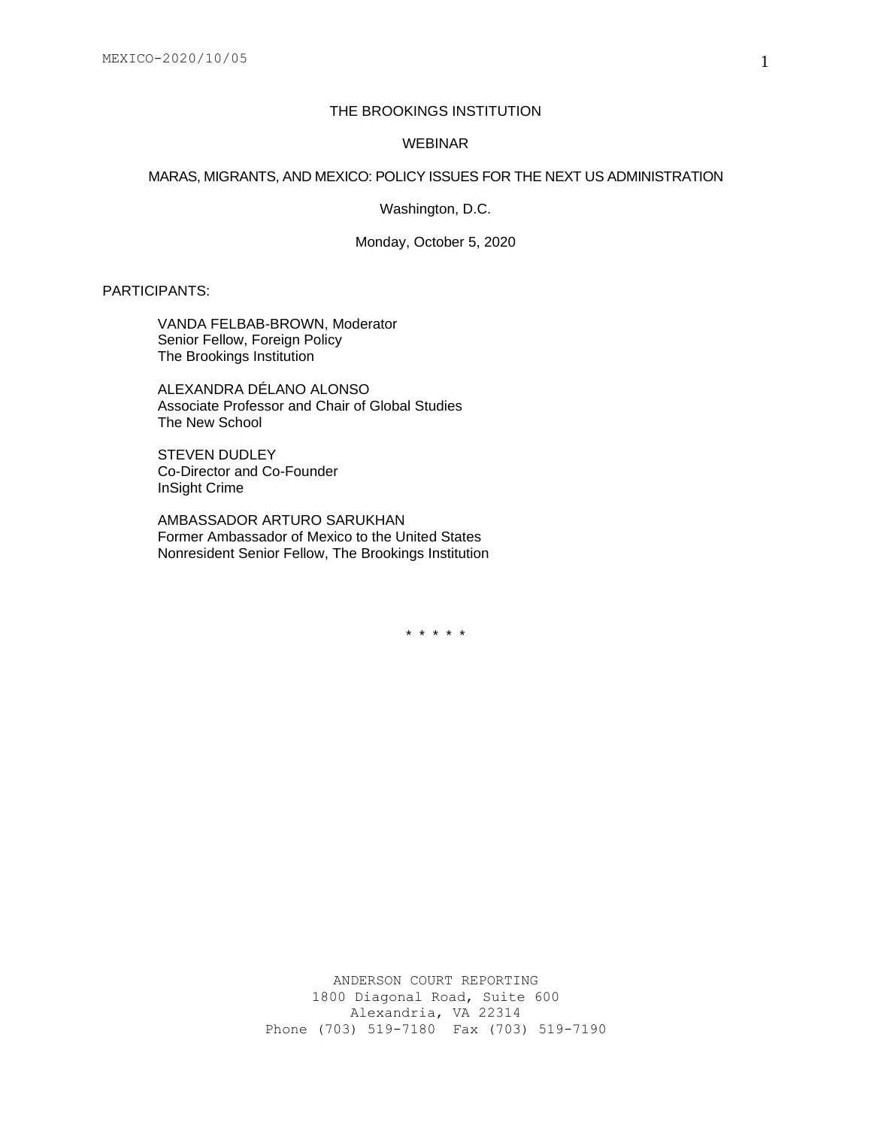# THE BROOKINGS INSTITUTION

## WEBINAR

#### MARAS, MIGRANTS, AND MEXICO: POLICY ISSUES FOR THE NEXT US ADMINISTRATION

Washington, D.C.

Monday, October 5, 2020

# PARTICIPANTS:

VANDA FELBAB-BROWN, Moderator Senior Fellow, Foreign Policy The Brookings Institution

ALEXANDRA DÉLANO ALONSO Associate Professor and Chair of Global Studies The New School

STEVEN DUDLEY Co-Director and Co-Founder InSight Crime

AMBASSADOR ARTURO SARUKHAN Former Ambassador of Mexico to the United States Nonresident Senior Fellow, The Brookings Institution

\* \* \* \* \*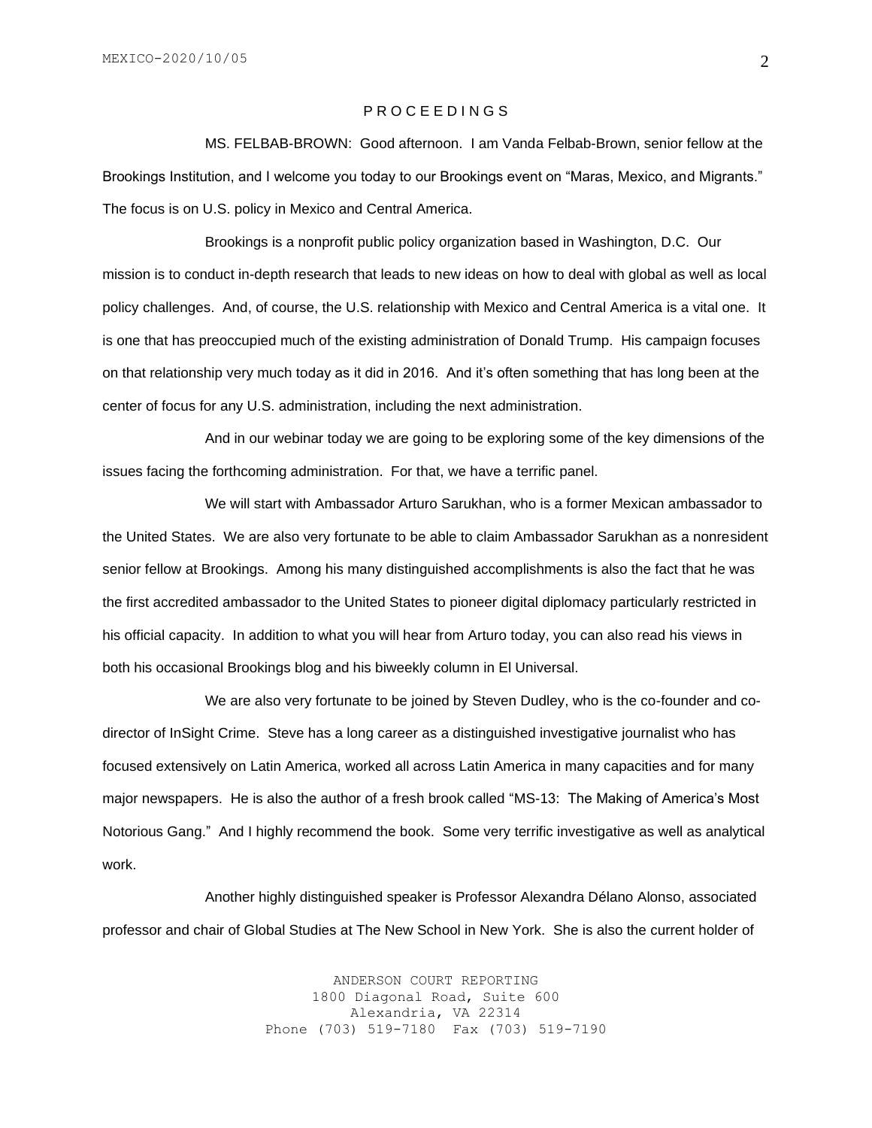# P R O C E E D I N G S

MS. FELBAB-BROWN: Good afternoon. I am Vanda Felbab-Brown, senior fellow at the Brookings Institution, and I welcome you today to our Brookings event on "Maras, Mexico, and Migrants." The focus is on U.S. policy in Mexico and Central America.

Brookings is a nonprofit public policy organization based in Washington, D.C. Our mission is to conduct in-depth research that leads to new ideas on how to deal with global as well as local policy challenges. And, of course, the U.S. relationship with Mexico and Central America is a vital one. It is one that has preoccupied much of the existing administration of Donald Trump. His campaign focuses on that relationship very much today as it did in 2016. And it's often something that has long been at the center of focus for any U.S. administration, including the next administration.

And in our webinar today we are going to be exploring some of the key dimensions of the issues facing the forthcoming administration. For that, we have a terrific panel.

We will start with Ambassador Arturo Sarukhan, who is a former Mexican ambassador to the United States. We are also very fortunate to be able to claim Ambassador Sarukhan as a nonresident senior fellow at Brookings. Among his many distinguished accomplishments is also the fact that he was the first accredited ambassador to the United States to pioneer digital diplomacy particularly restricted in his official capacity. In addition to what you will hear from Arturo today, you can also read his views in both his occasional Brookings blog and his biweekly column in El Universal.

We are also very fortunate to be joined by Steven Dudley, who is the co-founder and codirector of InSight Crime. Steve has a long career as a distinguished investigative journalist who has focused extensively on Latin America, worked all across Latin America in many capacities and for many major newspapers. He is also the author of a fresh brook called "MS-13: The Making of America's Most Notorious Gang." And I highly recommend the book. Some very terrific investigative as well as analytical work.

Another highly distinguished speaker is Professor Alexandra Délano Alonso, associated professor and chair of Global Studies at The New School in New York. She is also the current holder of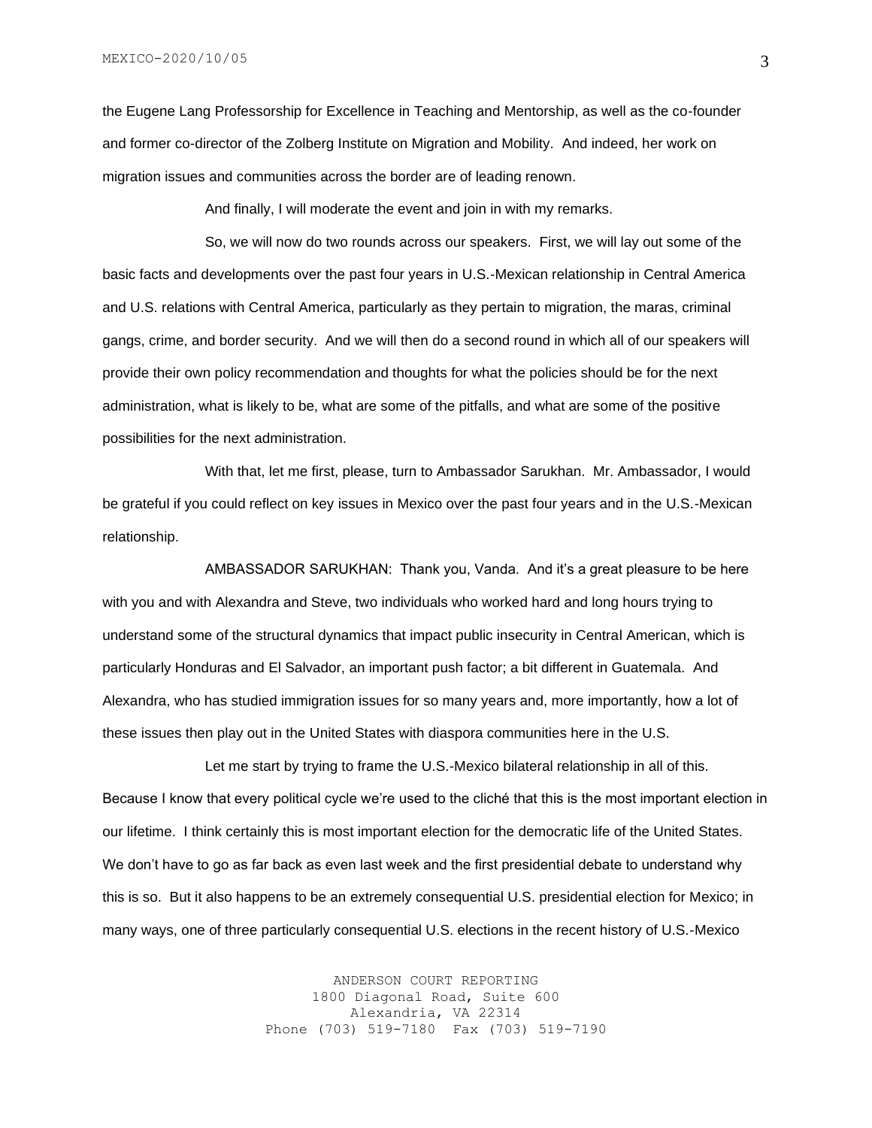the Eugene Lang Professorship for Excellence in Teaching and Mentorship, as well as the co-founder and former co-director of the Zolberg Institute on Migration and Mobility. And indeed, her work on migration issues and communities across the border are of leading renown.

And finally, I will moderate the event and join in with my remarks.

So, we will now do two rounds across our speakers. First, we will lay out some of the basic facts and developments over the past four years in U.S.-Mexican relationship in Central America and U.S. relations with Central America, particularly as they pertain to migration, the maras, criminal gangs, crime, and border security. And we will then do a second round in which all of our speakers will provide their own policy recommendation and thoughts for what the policies should be for the next administration, what is likely to be, what are some of the pitfalls, and what are some of the positive possibilities for the next administration.

With that, let me first, please, turn to Ambassador Sarukhan. Mr. Ambassador, I would be grateful if you could reflect on key issues in Mexico over the past four years and in the U.S.-Mexican relationship.

AMBASSADOR SARUKHAN: Thank you, Vanda. And it's a great pleasure to be here with you and with Alexandra and Steve, two individuals who worked hard and long hours trying to understand some of the structural dynamics that impact public insecurity in Central American, which is particularly Honduras and El Salvador, an important push factor; a bit different in Guatemala. And Alexandra, who has studied immigration issues for so many years and, more importantly, how a lot of these issues then play out in the United States with diaspora communities here in the U.S.

Let me start by trying to frame the U.S.-Mexico bilateral relationship in all of this. Because I know that every political cycle we're used to the cliché that this is the most important election in our lifetime. I think certainly this is most important election for the democratic life of the United States. We don't have to go as far back as even last week and the first presidential debate to understand why this is so. But it also happens to be an extremely consequential U.S. presidential election for Mexico; in many ways, one of three particularly consequential U.S. elections in the recent history of U.S.-Mexico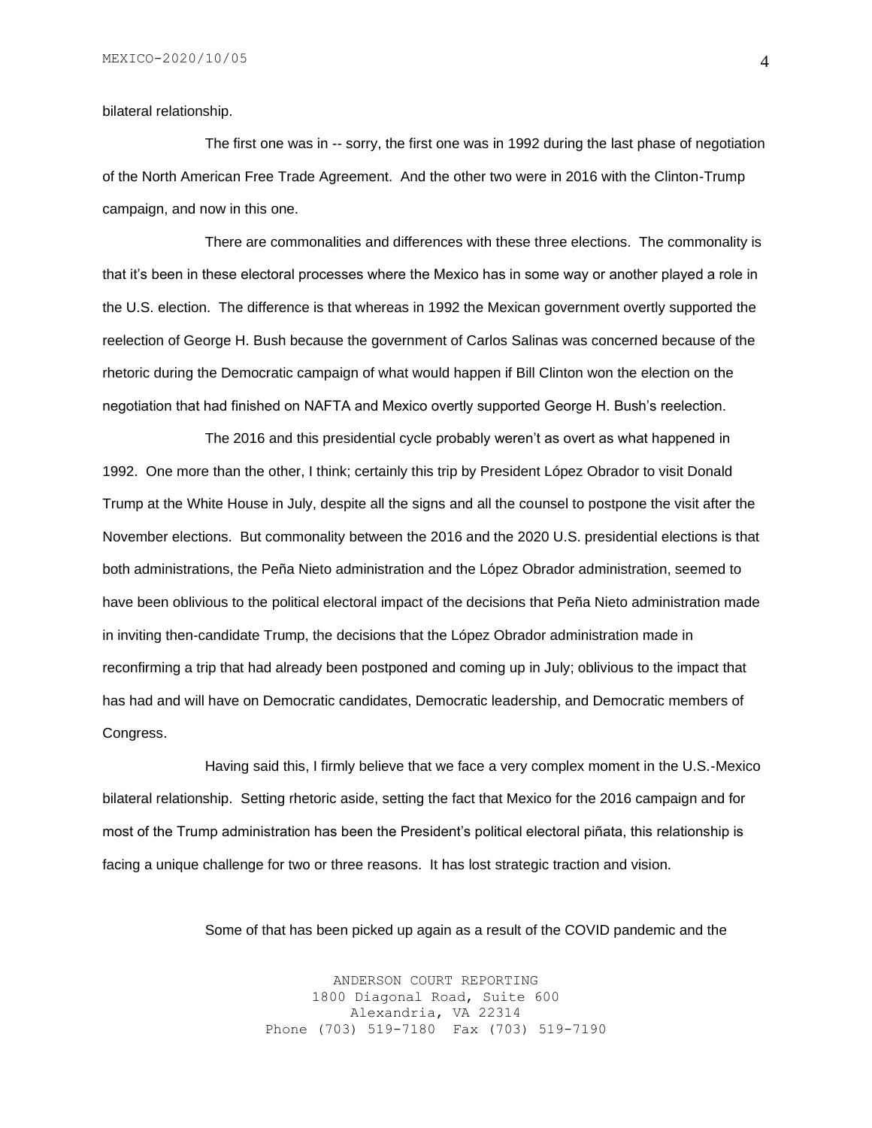#### bilateral relationship.

The first one was in -- sorry, the first one was in 1992 during the last phase of negotiation of the North American Free Trade Agreement. And the other two were in 2016 with the Clinton-Trump campaign, and now in this one.

There are commonalities and differences with these three elections. The commonality is that it's been in these electoral processes where the Mexico has in some way or another played a role in the U.S. election. The difference is that whereas in 1992 the Mexican government overtly supported the reelection of George H. Bush because the government of Carlos Salinas was concerned because of the rhetoric during the Democratic campaign of what would happen if Bill Clinton won the election on the negotiation that had finished on NAFTA and Mexico overtly supported George H. Bush's reelection.

The 2016 and this presidential cycle probably weren't as overt as what happened in 1992. One more than the other, I think; certainly this trip by President López Obrador to visit Donald Trump at the White House in July, despite all the signs and all the counsel to postpone the visit after the November elections. But commonality between the 2016 and the 2020 U.S. presidential elections is that both administrations, the Peña Nieto administration and the López Obrador administration, seemed to have been oblivious to the political electoral impact of the decisions that Peña Nieto administration made in inviting then-candidate Trump, the decisions that the López Obrador administration made in reconfirming a trip that had already been postponed and coming up in July; oblivious to the impact that has had and will have on Democratic candidates, Democratic leadership, and Democratic members of Congress.

Having said this, I firmly believe that we face a very complex moment in the U.S.-Mexico bilateral relationship. Setting rhetoric aside, setting the fact that Mexico for the 2016 campaign and for most of the Trump administration has been the President's political electoral piñata, this relationship is facing a unique challenge for two or three reasons. It has lost strategic traction and vision.

Some of that has been picked up again as a result of the COVID pandemic and the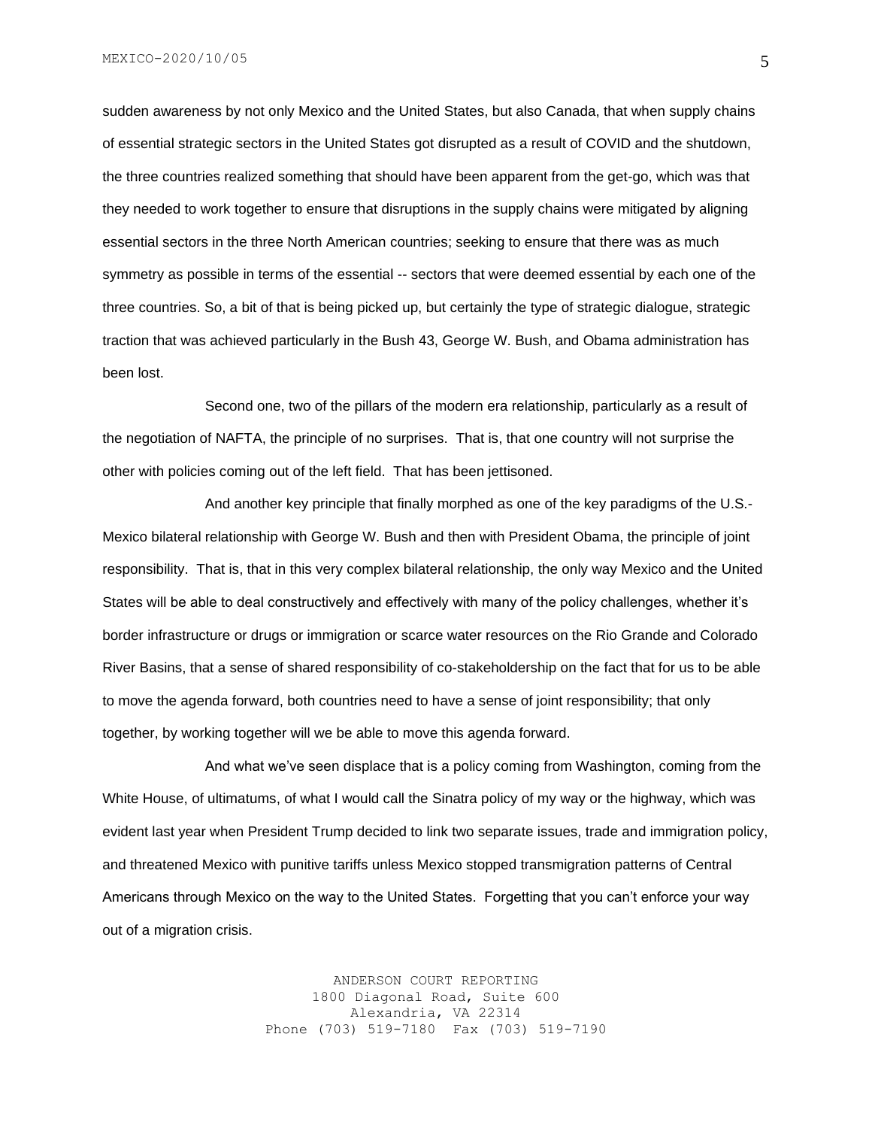sudden awareness by not only Mexico and the United States, but also Canada, that when supply chains of essential strategic sectors in the United States got disrupted as a result of COVID and the shutdown, the three countries realized something that should have been apparent from the get-go, which was that they needed to work together to ensure that disruptions in the supply chains were mitigated by aligning essential sectors in the three North American countries; seeking to ensure that there was as much symmetry as possible in terms of the essential -- sectors that were deemed essential by each one of the three countries. So, a bit of that is being picked up, but certainly the type of strategic dialogue, strategic traction that was achieved particularly in the Bush 43, George W. Bush, and Obama administration has been lost.

Second one, two of the pillars of the modern era relationship, particularly as a result of the negotiation of NAFTA, the principle of no surprises. That is, that one country will not surprise the other with policies coming out of the left field. That has been jettisoned.

And another key principle that finally morphed as one of the key paradigms of the U.S.- Mexico bilateral relationship with George W. Bush and then with President Obama, the principle of joint responsibility. That is, that in this very complex bilateral relationship, the only way Mexico and the United States will be able to deal constructively and effectively with many of the policy challenges, whether it's border infrastructure or drugs or immigration or scarce water resources on the Rio Grande and Colorado River Basins, that a sense of shared responsibility of co-stakeholdership on the fact that for us to be able to move the agenda forward, both countries need to have a sense of joint responsibility; that only together, by working together will we be able to move this agenda forward.

And what we've seen displace that is a policy coming from Washington, coming from the White House, of ultimatums, of what I would call the Sinatra policy of my way or the highway, which was evident last year when President Trump decided to link two separate issues, trade and immigration policy, and threatened Mexico with punitive tariffs unless Mexico stopped transmigration patterns of Central Americans through Mexico on the way to the United States. Forgetting that you can't enforce your way out of a migration crisis.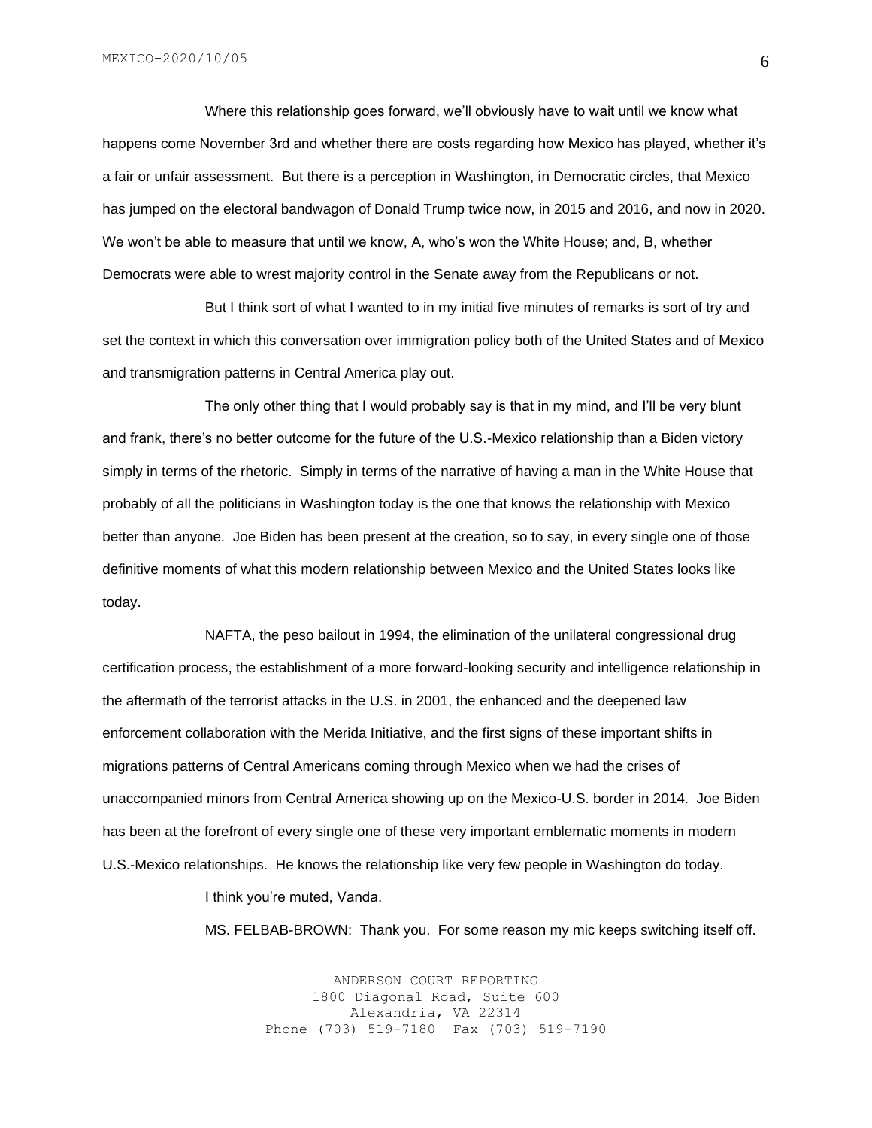Where this relationship goes forward, we'll obviously have to wait until we know what happens come November 3rd and whether there are costs regarding how Mexico has played, whether it's a fair or unfair assessment. But there is a perception in Washington, in Democratic circles, that Mexico has jumped on the electoral bandwagon of Donald Trump twice now, in 2015 and 2016, and now in 2020. We won't be able to measure that until we know, A, who's won the White House; and, B, whether Democrats were able to wrest majority control in the Senate away from the Republicans or not.

But I think sort of what I wanted to in my initial five minutes of remarks is sort of try and set the context in which this conversation over immigration policy both of the United States and of Mexico and transmigration patterns in Central America play out.

The only other thing that I would probably say is that in my mind, and I'll be very blunt and frank, there's no better outcome for the future of the U.S.-Mexico relationship than a Biden victory simply in terms of the rhetoric. Simply in terms of the narrative of having a man in the White House that probably of all the politicians in Washington today is the one that knows the relationship with Mexico better than anyone. Joe Biden has been present at the creation, so to say, in every single one of those definitive moments of what this modern relationship between Mexico and the United States looks like today.

NAFTA, the peso bailout in 1994, the elimination of the unilateral congressional drug certification process, the establishment of a more forward-looking security and intelligence relationship in the aftermath of the terrorist attacks in the U.S. in 2001, the enhanced and the deepened law enforcement collaboration with the Merida Initiative, and the first signs of these important shifts in migrations patterns of Central Americans coming through Mexico when we had the crises of unaccompanied minors from Central America showing up on the Mexico-U.S. border in 2014. Joe Biden has been at the forefront of every single one of these very important emblematic moments in modern U.S.-Mexico relationships. He knows the relationship like very few people in Washington do today.

I think you're muted, Vanda.

MS. FELBAB-BROWN: Thank you. For some reason my mic keeps switching itself off.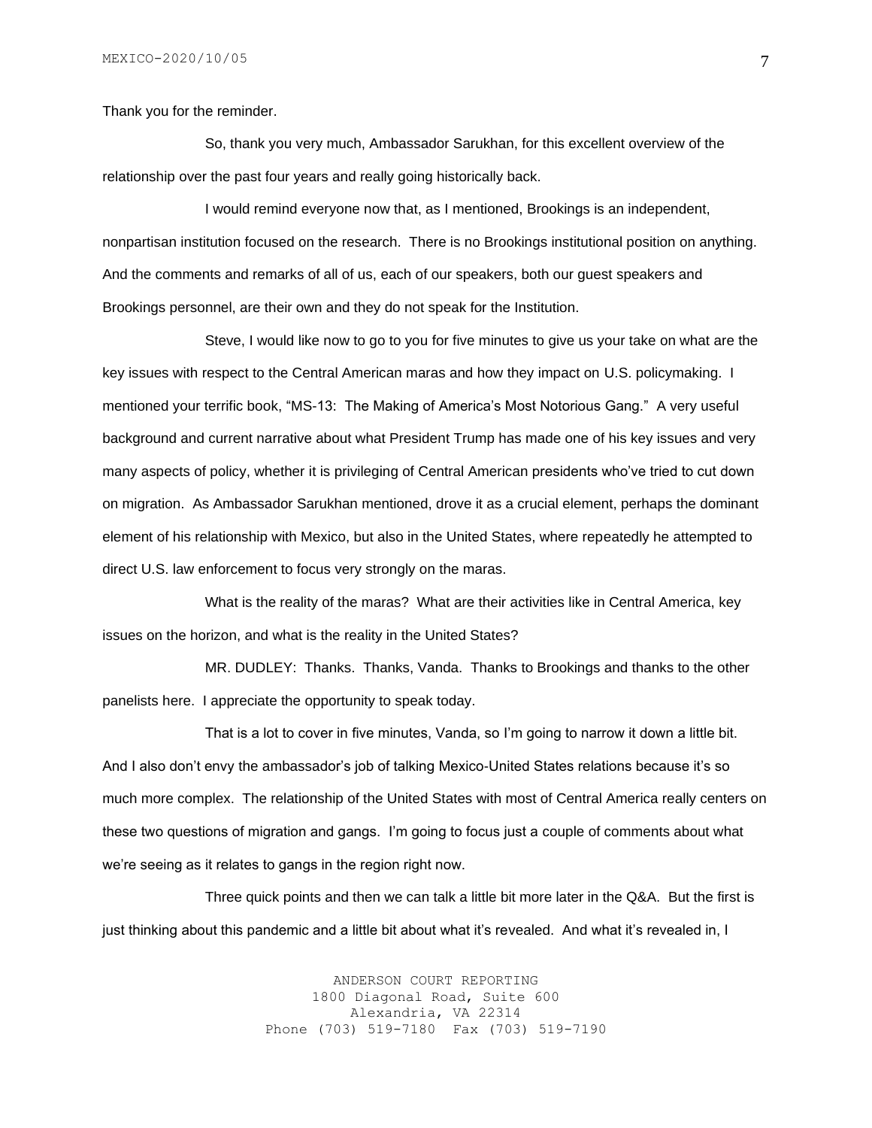Thank you for the reminder.

So, thank you very much, Ambassador Sarukhan, for this excellent overview of the relationship over the past four years and really going historically back.

I would remind everyone now that, as I mentioned, Brookings is an independent, nonpartisan institution focused on the research. There is no Brookings institutional position on anything. And the comments and remarks of all of us, each of our speakers, both our guest speakers and Brookings personnel, are their own and they do not speak for the Institution.

Steve, I would like now to go to you for five minutes to give us your take on what are the key issues with respect to the Central American maras and how they impact on U.S. policymaking. I mentioned your terrific book, "MS-13: The Making of America's Most Notorious Gang." A very useful background and current narrative about what President Trump has made one of his key issues and very many aspects of policy, whether it is privileging of Central American presidents who've tried to cut down on migration. As Ambassador Sarukhan mentioned, drove it as a crucial element, perhaps the dominant element of his relationship with Mexico, but also in the United States, where repeatedly he attempted to direct U.S. law enforcement to focus very strongly on the maras.

What is the reality of the maras? What are their activities like in Central America, key issues on the horizon, and what is the reality in the United States?

MR. DUDLEY: Thanks. Thanks, Vanda. Thanks to Brookings and thanks to the other panelists here. I appreciate the opportunity to speak today.

That is a lot to cover in five minutes, Vanda, so I'm going to narrow it down a little bit. And I also don't envy the ambassador's job of talking Mexico-United States relations because it's so much more complex. The relationship of the United States with most of Central America really centers on these two questions of migration and gangs. I'm going to focus just a couple of comments about what we're seeing as it relates to gangs in the region right now.

Three quick points and then we can talk a little bit more later in the Q&A. But the first is just thinking about this pandemic and a little bit about what it's revealed. And what it's revealed in, I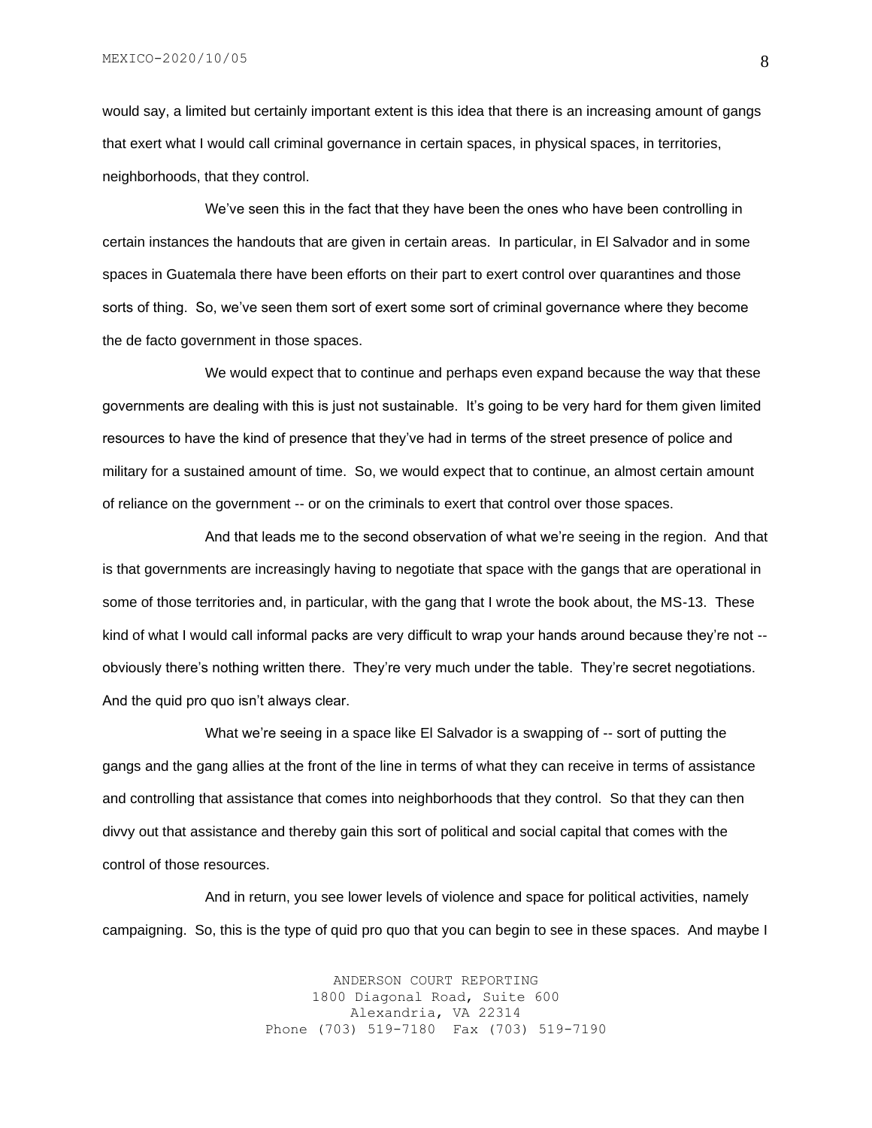would say, a limited but certainly important extent is this idea that there is an increasing amount of gangs that exert what I would call criminal governance in certain spaces, in physical spaces, in territories, neighborhoods, that they control.

We've seen this in the fact that they have been the ones who have been controlling in certain instances the handouts that are given in certain areas. In particular, in El Salvador and in some spaces in Guatemala there have been efforts on their part to exert control over quarantines and those sorts of thing. So, we've seen them sort of exert some sort of criminal governance where they become the de facto government in those spaces.

We would expect that to continue and perhaps even expand because the way that these governments are dealing with this is just not sustainable. It's going to be very hard for them given limited resources to have the kind of presence that they've had in terms of the street presence of police and military for a sustained amount of time. So, we would expect that to continue, an almost certain amount of reliance on the government -- or on the criminals to exert that control over those spaces.

And that leads me to the second observation of what we're seeing in the region. And that is that governments are increasingly having to negotiate that space with the gangs that are operational in some of those territories and, in particular, with the gang that I wrote the book about, the MS-13. These kind of what I would call informal packs are very difficult to wrap your hands around because they're not - obviously there's nothing written there. They're very much under the table. They're secret negotiations. And the quid pro quo isn't always clear.

What we're seeing in a space like El Salvador is a swapping of -- sort of putting the gangs and the gang allies at the front of the line in terms of what they can receive in terms of assistance and controlling that assistance that comes into neighborhoods that they control. So that they can then divvy out that assistance and thereby gain this sort of political and social capital that comes with the control of those resources.

And in return, you see lower levels of violence and space for political activities, namely campaigning. So, this is the type of quid pro quo that you can begin to see in these spaces. And maybe I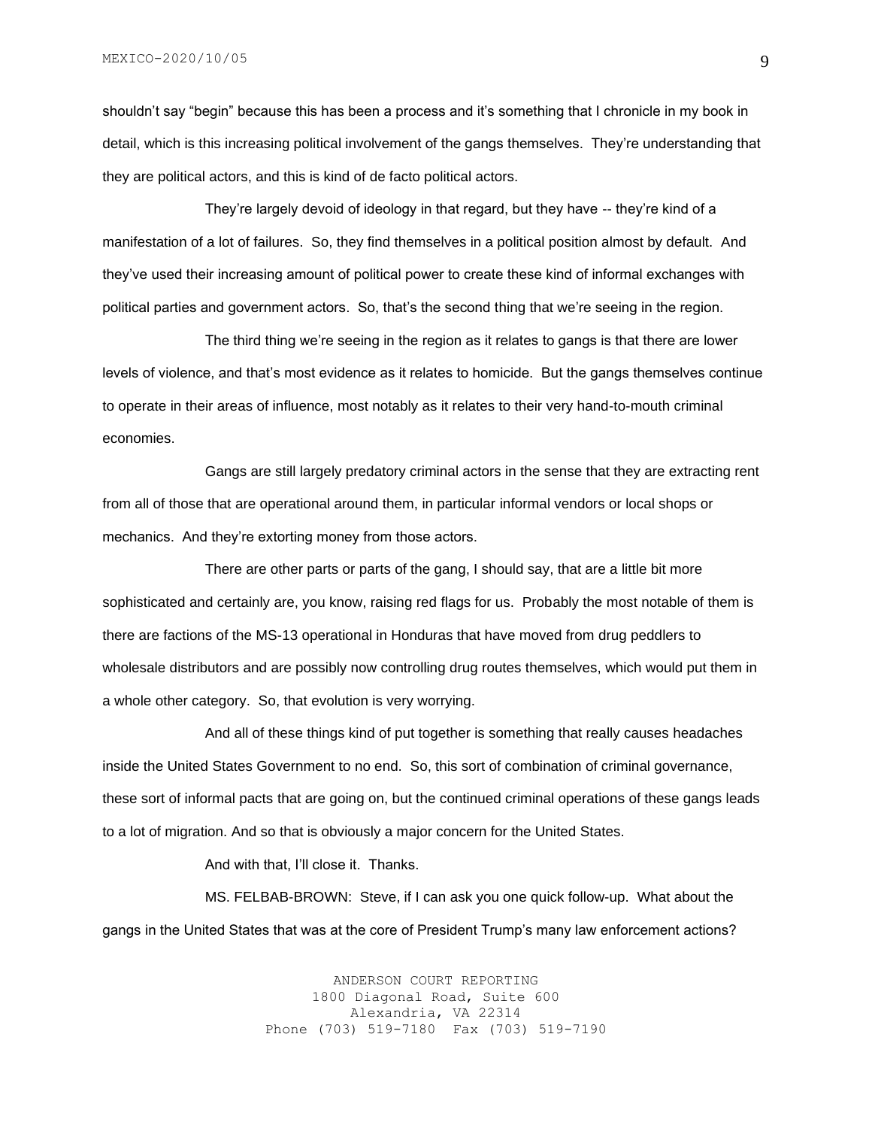shouldn't say "begin" because this has been a process and it's something that I chronicle in my book in detail, which is this increasing political involvement of the gangs themselves. They're understanding that they are political actors, and this is kind of de facto political actors.

They're largely devoid of ideology in that regard, but they have -- they're kind of a manifestation of a lot of failures. So, they find themselves in a political position almost by default. And they've used their increasing amount of political power to create these kind of informal exchanges with political parties and government actors. So, that's the second thing that we're seeing in the region.

The third thing we're seeing in the region as it relates to gangs is that there are lower levels of violence, and that's most evidence as it relates to homicide. But the gangs themselves continue to operate in their areas of influence, most notably as it relates to their very hand-to-mouth criminal economies.

Gangs are still largely predatory criminal actors in the sense that they are extracting rent from all of those that are operational around them, in particular informal vendors or local shops or mechanics. And they're extorting money from those actors.

There are other parts or parts of the gang, I should say, that are a little bit more sophisticated and certainly are, you know, raising red flags for us. Probably the most notable of them is there are factions of the MS-13 operational in Honduras that have moved from drug peddlers to wholesale distributors and are possibly now controlling drug routes themselves, which would put them in a whole other category. So, that evolution is very worrying.

And all of these things kind of put together is something that really causes headaches inside the United States Government to no end. So, this sort of combination of criminal governance, these sort of informal pacts that are going on, but the continued criminal operations of these gangs leads to a lot of migration. And so that is obviously a major concern for the United States.

And with that, I'll close it. Thanks.

MS. FELBAB-BROWN: Steve, if I can ask you one quick follow-up. What about the gangs in the United States that was at the core of President Trump's many law enforcement actions?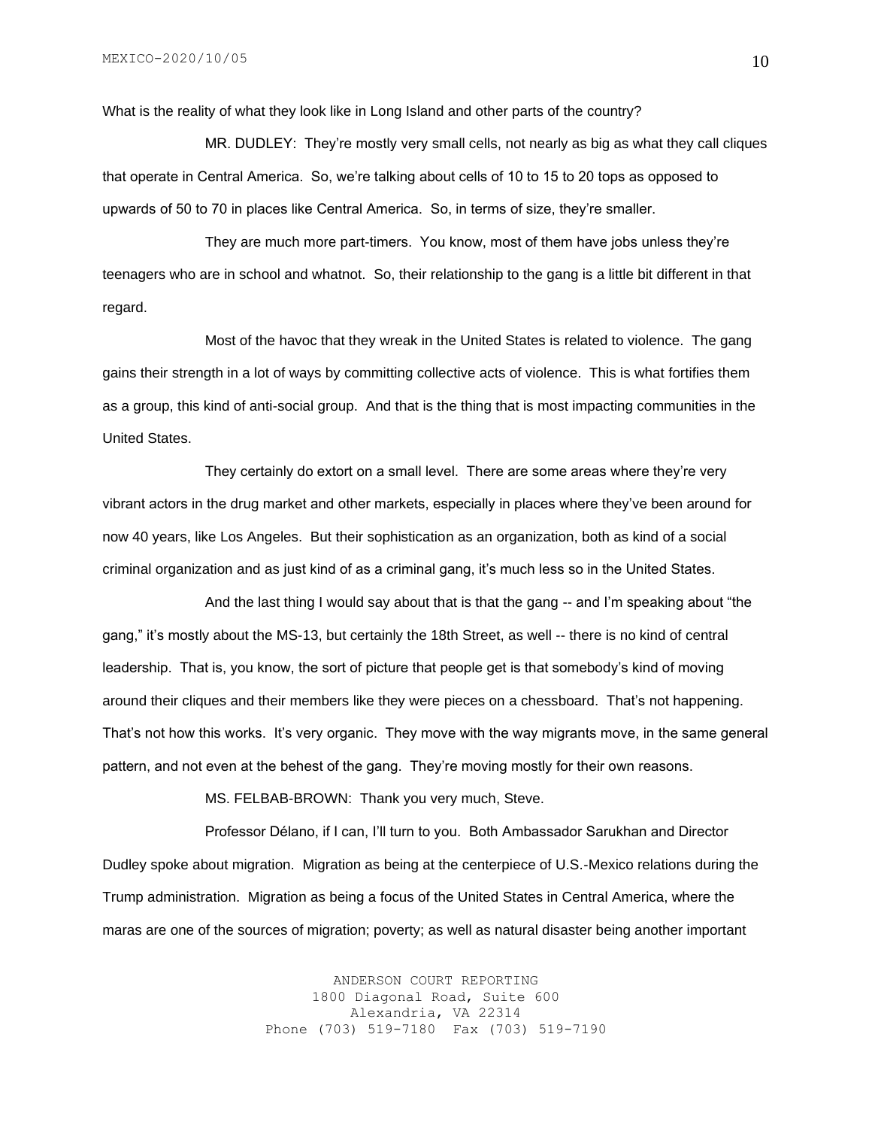What is the reality of what they look like in Long Island and other parts of the country?

MR. DUDLEY: They're mostly very small cells, not nearly as big as what they call cliques that operate in Central America. So, we're talking about cells of 10 to 15 to 20 tops as opposed to upwards of 50 to 70 in places like Central America. So, in terms of size, they're smaller.

They are much more part-timers. You know, most of them have jobs unless they're teenagers who are in school and whatnot. So, their relationship to the gang is a little bit different in that regard.

Most of the havoc that they wreak in the United States is related to violence. The gang gains their strength in a lot of ways by committing collective acts of violence. This is what fortifies them as a group, this kind of anti-social group. And that is the thing that is most impacting communities in the United States.

They certainly do extort on a small level. There are some areas where they're very vibrant actors in the drug market and other markets, especially in places where they've been around for now 40 years, like Los Angeles. But their sophistication as an organization, both as kind of a social criminal organization and as just kind of as a criminal gang, it's much less so in the United States.

And the last thing I would say about that is that the gang -- and I'm speaking about "the gang," it's mostly about the MS-13, but certainly the 18th Street, as well -- there is no kind of central leadership. That is, you know, the sort of picture that people get is that somebody's kind of moving around their cliques and their members like they were pieces on a chessboard. That's not happening. That's not how this works. It's very organic. They move with the way migrants move, in the same general pattern, and not even at the behest of the gang. They're moving mostly for their own reasons.

MS. FELBAB-BROWN: Thank you very much, Steve.

Professor Délano, if I can, I'll turn to you. Both Ambassador Sarukhan and Director Dudley spoke about migration. Migration as being at the centerpiece of U.S.-Mexico relations during the Trump administration. Migration as being a focus of the United States in Central America, where the maras are one of the sources of migration; poverty; as well as natural disaster being another important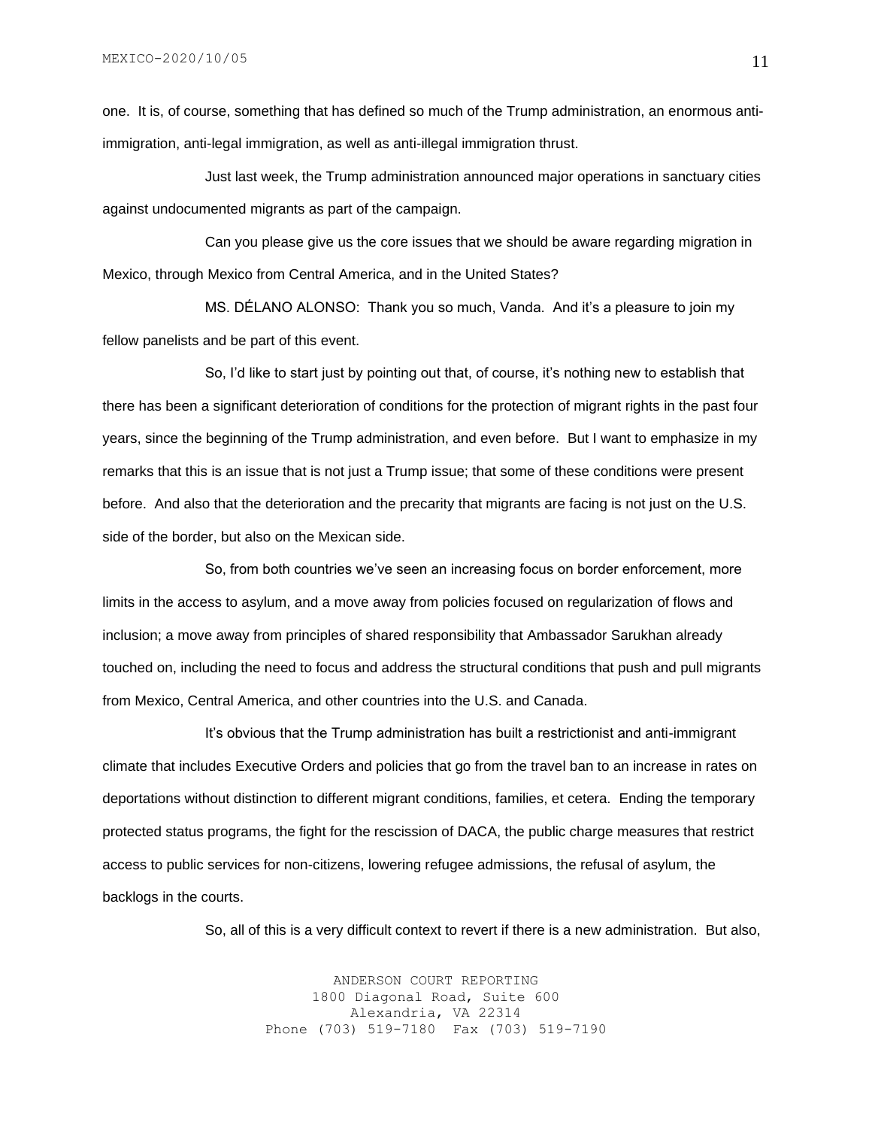one. It is, of course, something that has defined so much of the Trump administration, an enormous antiimmigration, anti-legal immigration, as well as anti-illegal immigration thrust.

Just last week, the Trump administration announced major operations in sanctuary cities against undocumented migrants as part of the campaign.

Can you please give us the core issues that we should be aware regarding migration in Mexico, through Mexico from Central America, and in the United States?

MS. DÉLANO ALONSO: Thank you so much, Vanda. And it's a pleasure to join my fellow panelists and be part of this event.

So, I'd like to start just by pointing out that, of course, it's nothing new to establish that there has been a significant deterioration of conditions for the protection of migrant rights in the past four years, since the beginning of the Trump administration, and even before. But I want to emphasize in my remarks that this is an issue that is not just a Trump issue; that some of these conditions were present before. And also that the deterioration and the precarity that migrants are facing is not just on the U.S. side of the border, but also on the Mexican side.

So, from both countries we've seen an increasing focus on border enforcement, more limits in the access to asylum, and a move away from policies focused on regularization of flows and inclusion; a move away from principles of shared responsibility that Ambassador Sarukhan already touched on, including the need to focus and address the structural conditions that push and pull migrants from Mexico, Central America, and other countries into the U.S. and Canada.

It's obvious that the Trump administration has built a restrictionist and anti-immigrant climate that includes Executive Orders and policies that go from the travel ban to an increase in rates on deportations without distinction to different migrant conditions, families, et cetera. Ending the temporary protected status programs, the fight for the rescission of DACA, the public charge measures that restrict access to public services for non-citizens, lowering refugee admissions, the refusal of asylum, the backlogs in the courts.

So, all of this is a very difficult context to revert if there is a new administration. But also,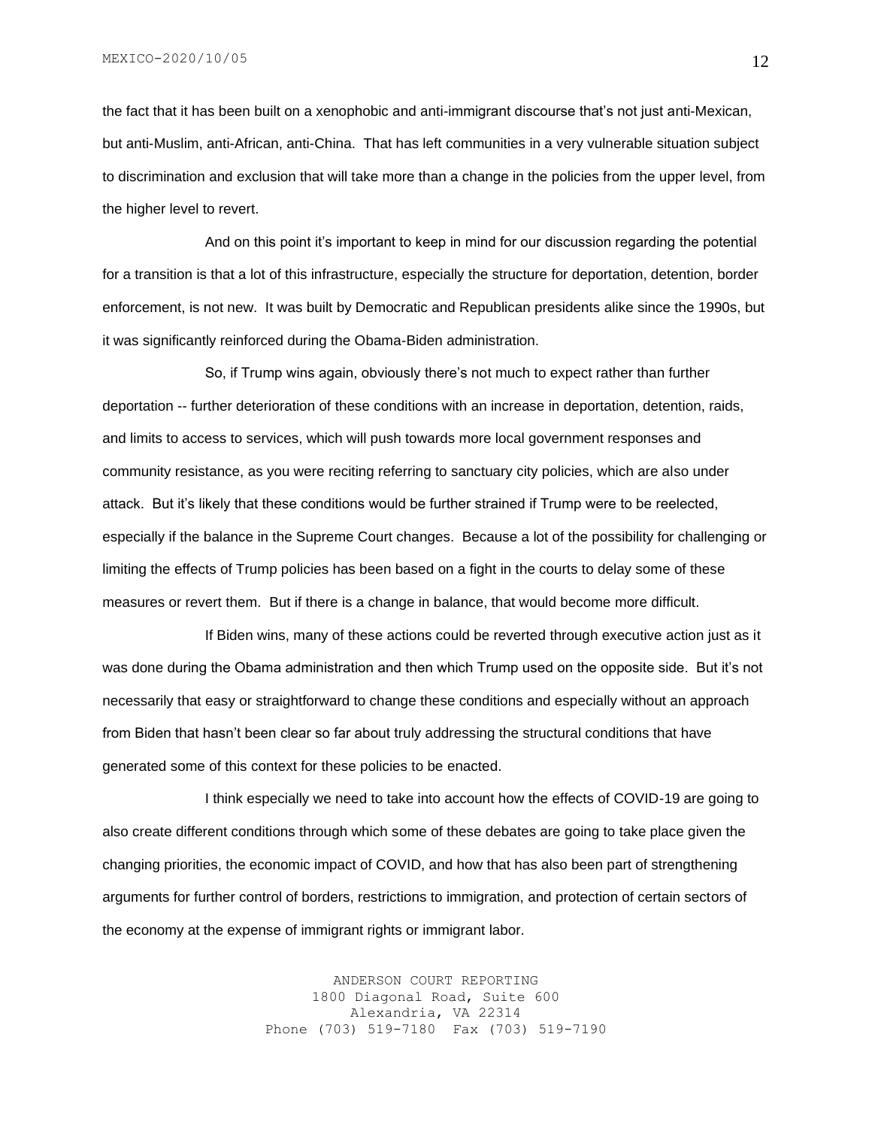MEXICO-2020/10/05

the fact that it has been built on a xenophobic and anti-immigrant discourse that's not just anti-Mexican, but anti-Muslim, anti-African, anti-China. That has left communities in a very vulnerable situation subject to discrimination and exclusion that will take more than a change in the policies from the upper level, from the higher level to revert.

And on this point it's important to keep in mind for our discussion regarding the potential for a transition is that a lot of this infrastructure, especially the structure for deportation, detention, border enforcement, is not new. It was built by Democratic and Republican presidents alike since the 1990s, but it was significantly reinforced during the Obama-Biden administration.

So, if Trump wins again, obviously there's not much to expect rather than further deportation -- further deterioration of these conditions with an increase in deportation, detention, raids, and limits to access to services, which will push towards more local government responses and community resistance, as you were reciting referring to sanctuary city policies, which are also under attack. But it's likely that these conditions would be further strained if Trump were to be reelected, especially if the balance in the Supreme Court changes. Because a lot of the possibility for challenging or limiting the effects of Trump policies has been based on a fight in the courts to delay some of these measures or revert them. But if there is a change in balance, that would become more difficult.

If Biden wins, many of these actions could be reverted through executive action just as it was done during the Obama administration and then which Trump used on the opposite side. But it's not necessarily that easy or straightforward to change these conditions and especially without an approach from Biden that hasn't been clear so far about truly addressing the structural conditions that have generated some of this context for these policies to be enacted.

I think especially we need to take into account how the effects of COVID-19 are going to also create different conditions through which some of these debates are going to take place given the changing priorities, the economic impact of COVID, and how that has also been part of strengthening arguments for further control of borders, restrictions to immigration, and protection of certain sectors of the economy at the expense of immigrant rights or immigrant labor.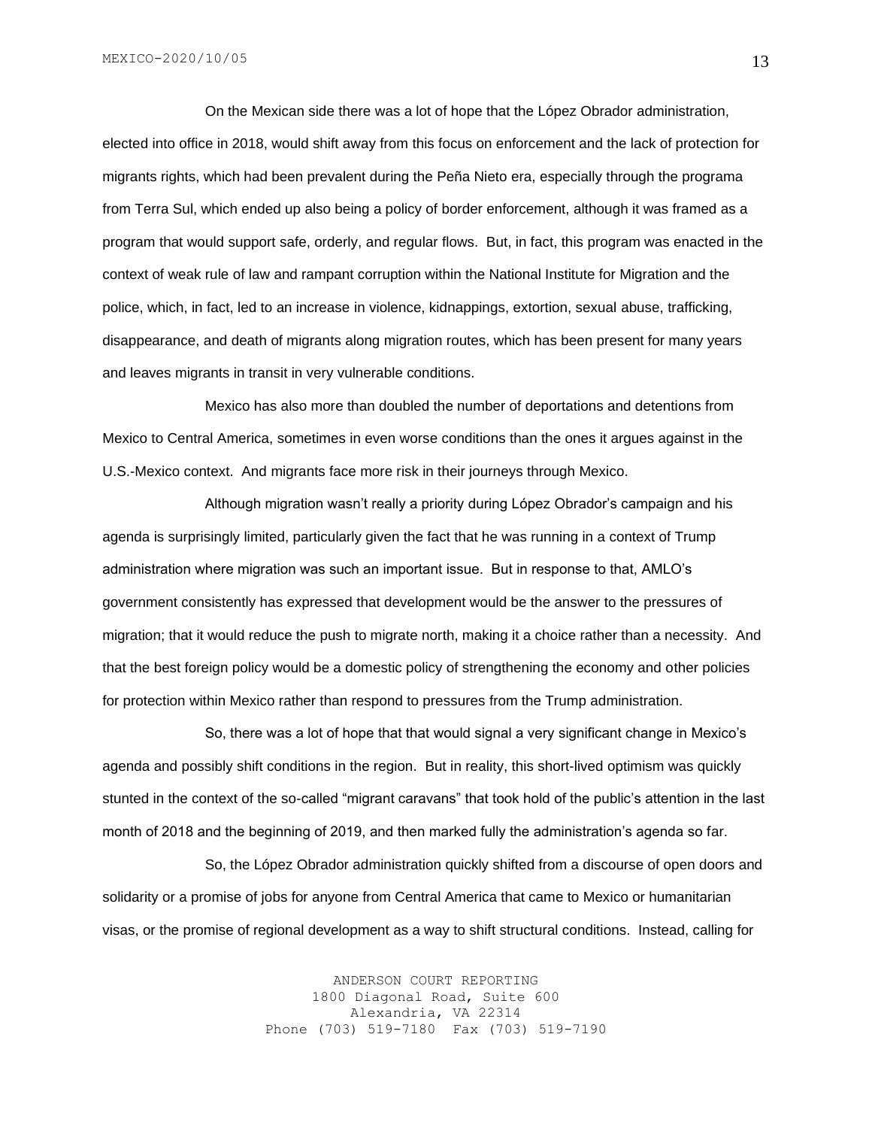On the Mexican side there was a lot of hope that the López Obrador administration, elected into office in 2018, would shift away from this focus on enforcement and the lack of protection for migrants rights, which had been prevalent during the Peña Nieto era, especially through the programa from Terra Sul, which ended up also being a policy of border enforcement, although it was framed as a program that would support safe, orderly, and regular flows. But, in fact, this program was enacted in the context of weak rule of law and rampant corruption within the National Institute for Migration and the police, which, in fact, led to an increase in violence, kidnappings, extortion, sexual abuse, trafficking, disappearance, and death of migrants along migration routes, which has been present for many years and leaves migrants in transit in very vulnerable conditions.

Mexico has also more than doubled the number of deportations and detentions from Mexico to Central America, sometimes in even worse conditions than the ones it argues against in the U.S.-Mexico context. And migrants face more risk in their journeys through Mexico.

Although migration wasn't really a priority during López Obrador's campaign and his agenda is surprisingly limited, particularly given the fact that he was running in a context of Trump administration where migration was such an important issue. But in response to that, AMLO's government consistently has expressed that development would be the answer to the pressures of migration; that it would reduce the push to migrate north, making it a choice rather than a necessity. And that the best foreign policy would be a domestic policy of strengthening the economy and other policies for protection within Mexico rather than respond to pressures from the Trump administration.

So, there was a lot of hope that that would signal a very significant change in Mexico's agenda and possibly shift conditions in the region. But in reality, this short-lived optimism was quickly stunted in the context of the so-called "migrant caravans" that took hold of the public's attention in the last month of 2018 and the beginning of 2019, and then marked fully the administration's agenda so far.

So, the López Obrador administration quickly shifted from a discourse of open doors and solidarity or a promise of jobs for anyone from Central America that came to Mexico or humanitarian visas, or the promise of regional development as a way to shift structural conditions. Instead, calling for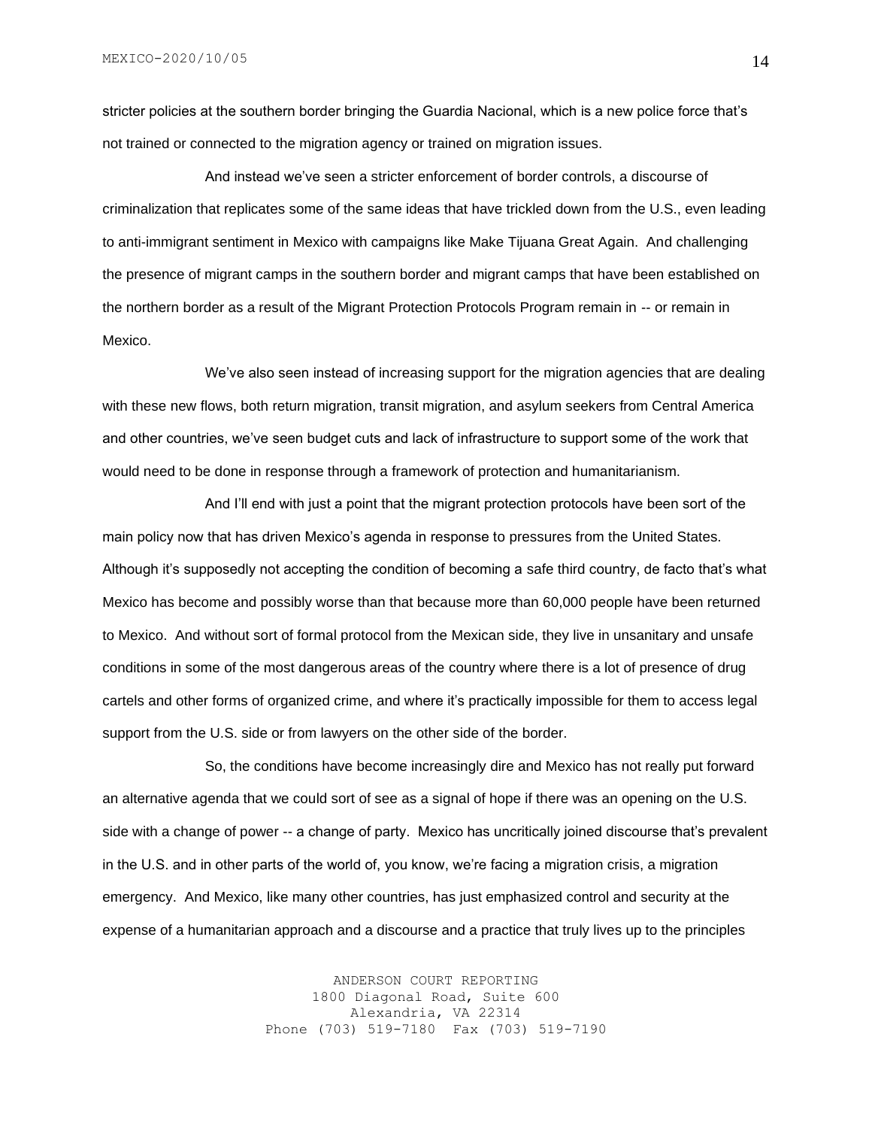stricter policies at the southern border bringing the Guardia Nacional, which is a new police force that's not trained or connected to the migration agency or trained on migration issues.

And instead we've seen a stricter enforcement of border controls, a discourse of criminalization that replicates some of the same ideas that have trickled down from the U.S., even leading to anti-immigrant sentiment in Mexico with campaigns like Make Tijuana Great Again. And challenging the presence of migrant camps in the southern border and migrant camps that have been established on the northern border as a result of the Migrant Protection Protocols Program remain in -- or remain in Mexico.

We've also seen instead of increasing support for the migration agencies that are dealing with these new flows, both return migration, transit migration, and asylum seekers from Central America and other countries, we've seen budget cuts and lack of infrastructure to support some of the work that would need to be done in response through a framework of protection and humanitarianism.

And I'll end with just a point that the migrant protection protocols have been sort of the main policy now that has driven Mexico's agenda in response to pressures from the United States. Although it's supposedly not accepting the condition of becoming a safe third country, de facto that's what Mexico has become and possibly worse than that because more than 60,000 people have been returned to Mexico. And without sort of formal protocol from the Mexican side, they live in unsanitary and unsafe conditions in some of the most dangerous areas of the country where there is a lot of presence of drug cartels and other forms of organized crime, and where it's practically impossible for them to access legal support from the U.S. side or from lawyers on the other side of the border.

So, the conditions have become increasingly dire and Mexico has not really put forward an alternative agenda that we could sort of see as a signal of hope if there was an opening on the U.S. side with a change of power -- a change of party. Mexico has uncritically joined discourse that's prevalent in the U.S. and in other parts of the world of, you know, we're facing a migration crisis, a migration emergency. And Mexico, like many other countries, has just emphasized control and security at the expense of a humanitarian approach and a discourse and a practice that truly lives up to the principles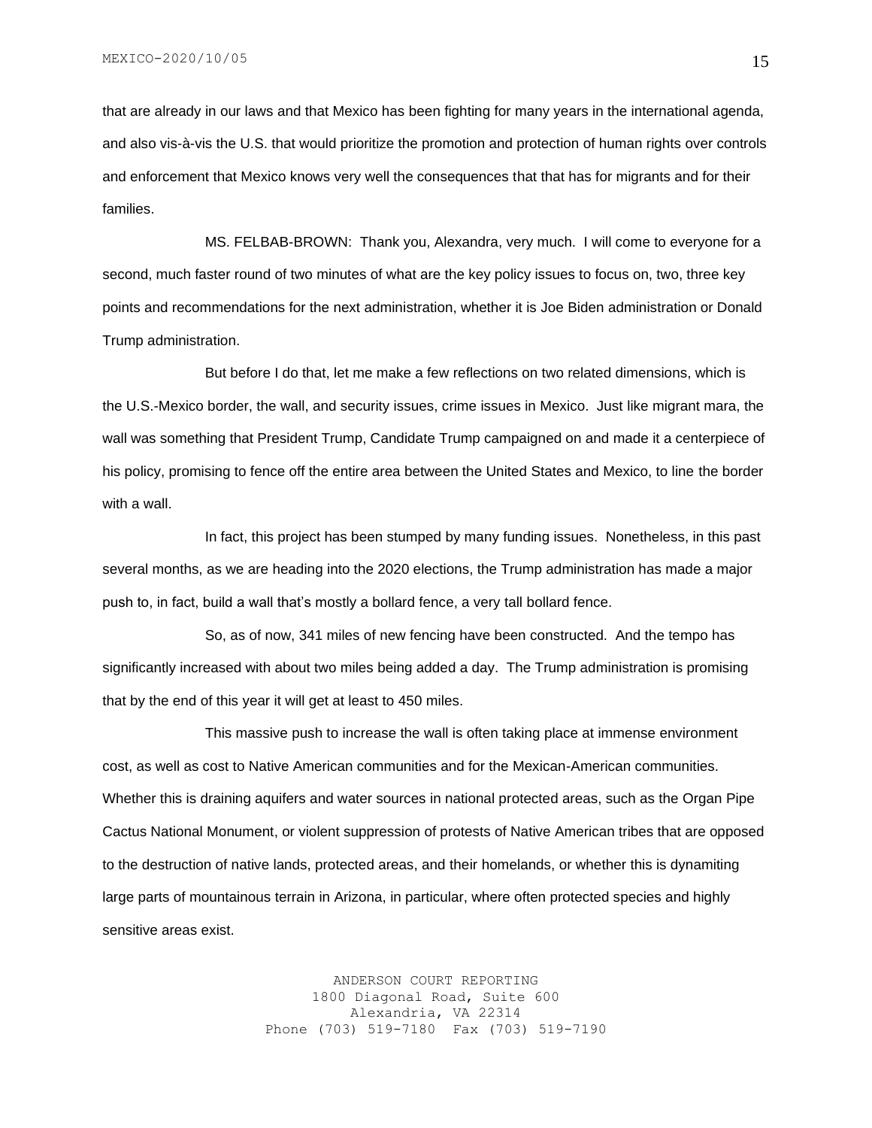that are already in our laws and that Mexico has been fighting for many years in the international agenda, and also vis-à-vis the U.S. that would prioritize the promotion and protection of human rights over controls and enforcement that Mexico knows very well the consequences that that has for migrants and for their families.

MS. FELBAB-BROWN: Thank you, Alexandra, very much. I will come to everyone for a second, much faster round of two minutes of what are the key policy issues to focus on, two, three key points and recommendations for the next administration, whether it is Joe Biden administration or Donald Trump administration.

But before I do that, let me make a few reflections on two related dimensions, which is the U.S.-Mexico border, the wall, and security issues, crime issues in Mexico. Just like migrant mara, the wall was something that President Trump, Candidate Trump campaigned on and made it a centerpiece of his policy, promising to fence off the entire area between the United States and Mexico, to line the border with a wall.

In fact, this project has been stumped by many funding issues. Nonetheless, in this past several months, as we are heading into the 2020 elections, the Trump administration has made a major push to, in fact, build a wall that's mostly a bollard fence, a very tall bollard fence.

So, as of now, 341 miles of new fencing have been constructed. And the tempo has significantly increased with about two miles being added a day. The Trump administration is promising that by the end of this year it will get at least to 450 miles.

This massive push to increase the wall is often taking place at immense environment cost, as well as cost to Native American communities and for the Mexican-American communities. Whether this is draining aquifers and water sources in national protected areas, such as the Organ Pipe Cactus National Monument, or violent suppression of protests of Native American tribes that are opposed to the destruction of native lands, protected areas, and their homelands, or whether this is dynamiting large parts of mountainous terrain in Arizona, in particular, where often protected species and highly sensitive areas exist.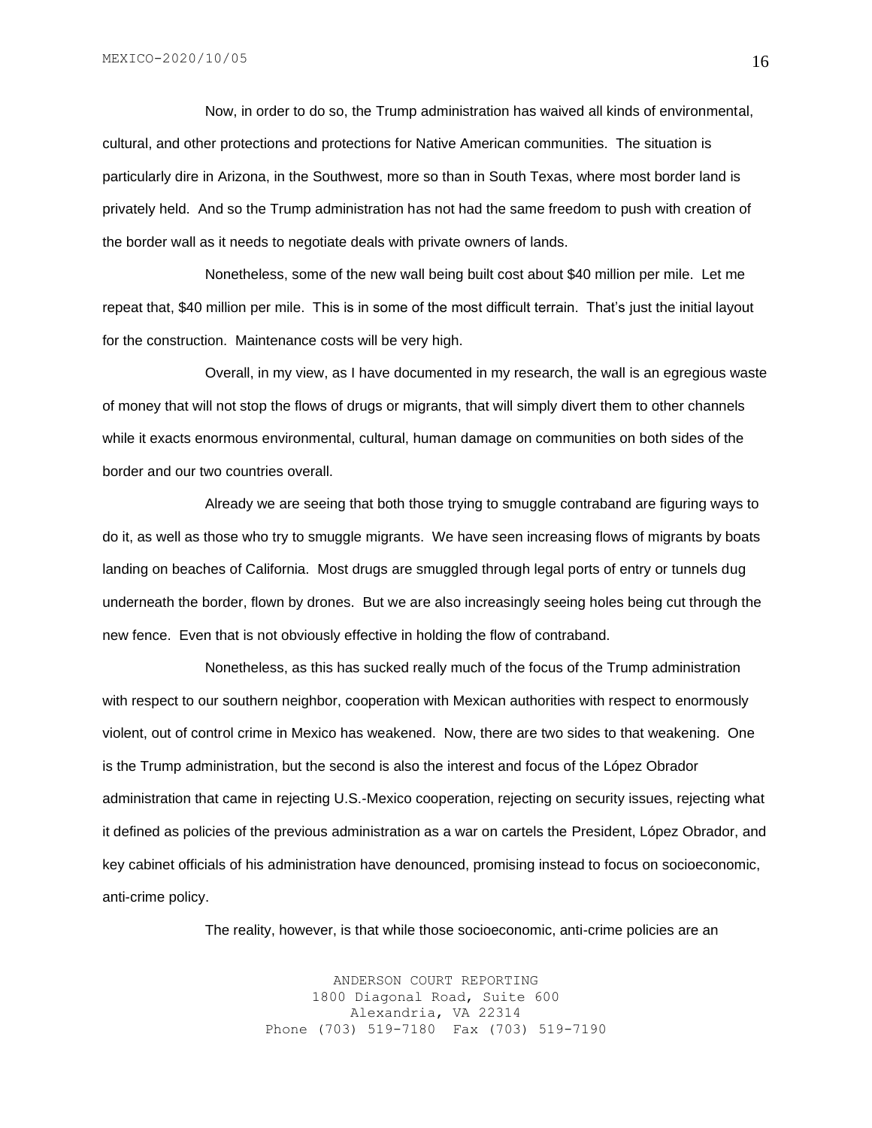Now, in order to do so, the Trump administration has waived all kinds of environmental, cultural, and other protections and protections for Native American communities. The situation is particularly dire in Arizona, in the Southwest, more so than in South Texas, where most border land is privately held. And so the Trump administration has not had the same freedom to push with creation of the border wall as it needs to negotiate deals with private owners of lands.

Nonetheless, some of the new wall being built cost about \$40 million per mile. Let me repeat that, \$40 million per mile. This is in some of the most difficult terrain. That's just the initial layout for the construction. Maintenance costs will be very high.

Overall, in my view, as I have documented in my research, the wall is an egregious waste of money that will not stop the flows of drugs or migrants, that will simply divert them to other channels while it exacts enormous environmental, cultural, human damage on communities on both sides of the border and our two countries overall.

Already we are seeing that both those trying to smuggle contraband are figuring ways to do it, as well as those who try to smuggle migrants. We have seen increasing flows of migrants by boats landing on beaches of California. Most drugs are smuggled through legal ports of entry or tunnels dug underneath the border, flown by drones. But we are also increasingly seeing holes being cut through the new fence. Even that is not obviously effective in holding the flow of contraband.

Nonetheless, as this has sucked really much of the focus of the Trump administration with respect to our southern neighbor, cooperation with Mexican authorities with respect to enormously violent, out of control crime in Mexico has weakened. Now, there are two sides to that weakening. One is the Trump administration, but the second is also the interest and focus of the López Obrador administration that came in rejecting U.S.-Mexico cooperation, rejecting on security issues, rejecting what it defined as policies of the previous administration as a war on cartels the President, López Obrador, and key cabinet officials of his administration have denounced, promising instead to focus on socioeconomic, anti-crime policy.

The reality, however, is that while those socioeconomic, anti-crime policies are an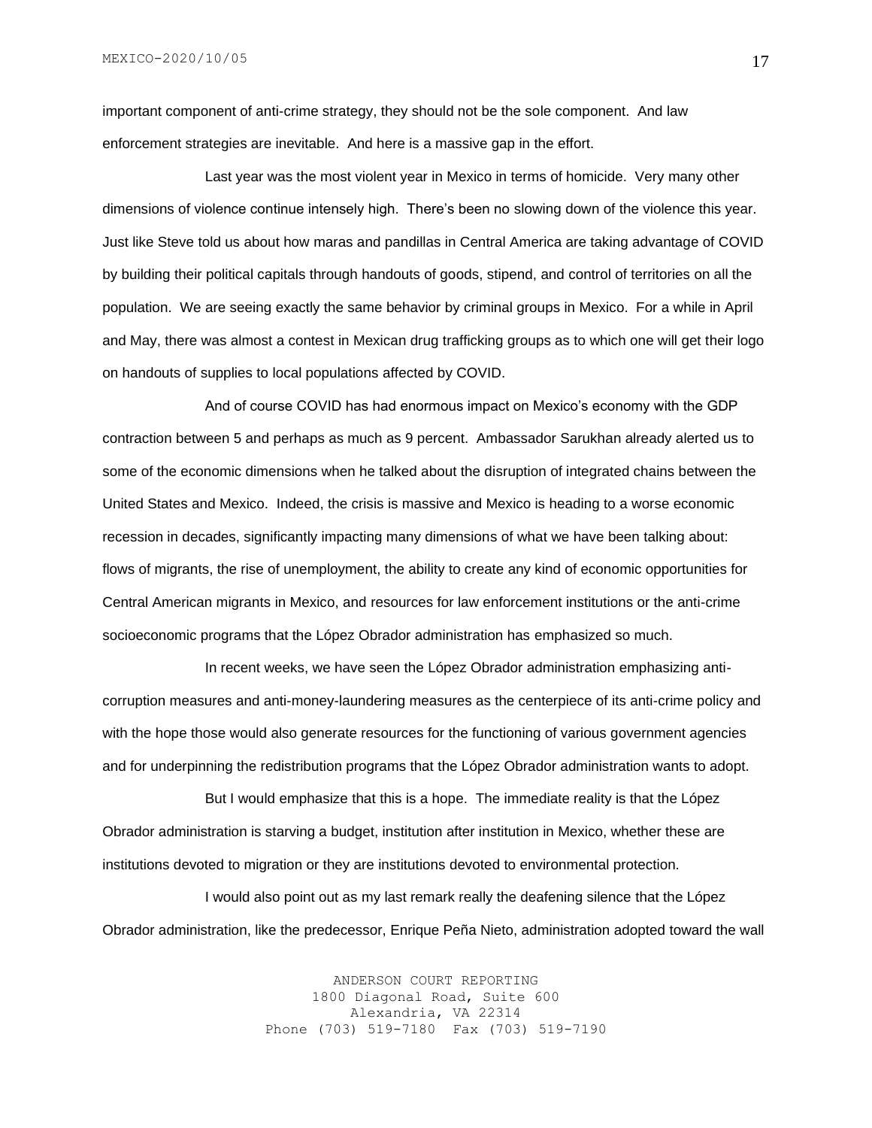MEXICO-2020/10/05

important component of anti-crime strategy, they should not be the sole component. And law enforcement strategies are inevitable. And here is a massive gap in the effort.

Last year was the most violent year in Mexico in terms of homicide. Very many other dimensions of violence continue intensely high. There's been no slowing down of the violence this year. Just like Steve told us about how maras and pandillas in Central America are taking advantage of COVID by building their political capitals through handouts of goods, stipend, and control of territories on all the population. We are seeing exactly the same behavior by criminal groups in Mexico. For a while in April and May, there was almost a contest in Mexican drug trafficking groups as to which one will get their logo on handouts of supplies to local populations affected by COVID.

And of course COVID has had enormous impact on Mexico's economy with the GDP contraction between 5 and perhaps as much as 9 percent. Ambassador Sarukhan already alerted us to some of the economic dimensions when he talked about the disruption of integrated chains between the United States and Mexico. Indeed, the crisis is massive and Mexico is heading to a worse economic recession in decades, significantly impacting many dimensions of what we have been talking about: flows of migrants, the rise of unemployment, the ability to create any kind of economic opportunities for Central American migrants in Mexico, and resources for law enforcement institutions or the anti-crime socioeconomic programs that the López Obrador administration has emphasized so much.

In recent weeks, we have seen the López Obrador administration emphasizing anticorruption measures and anti-money-laundering measures as the centerpiece of its anti-crime policy and with the hope those would also generate resources for the functioning of various government agencies and for underpinning the redistribution programs that the López Obrador administration wants to adopt.

But I would emphasize that this is a hope. The immediate reality is that the López Obrador administration is starving a budget, institution after institution in Mexico, whether these are institutions devoted to migration or they are institutions devoted to environmental protection.

I would also point out as my last remark really the deafening silence that the López Obrador administration, like the predecessor, Enrique Peña Nieto, administration adopted toward the wall

> ANDERSON COURT REPORTING 1800 Diagonal Road, Suite 600 Alexandria, VA 22314 Phone (703) 519-7180 Fax (703) 519-7190

17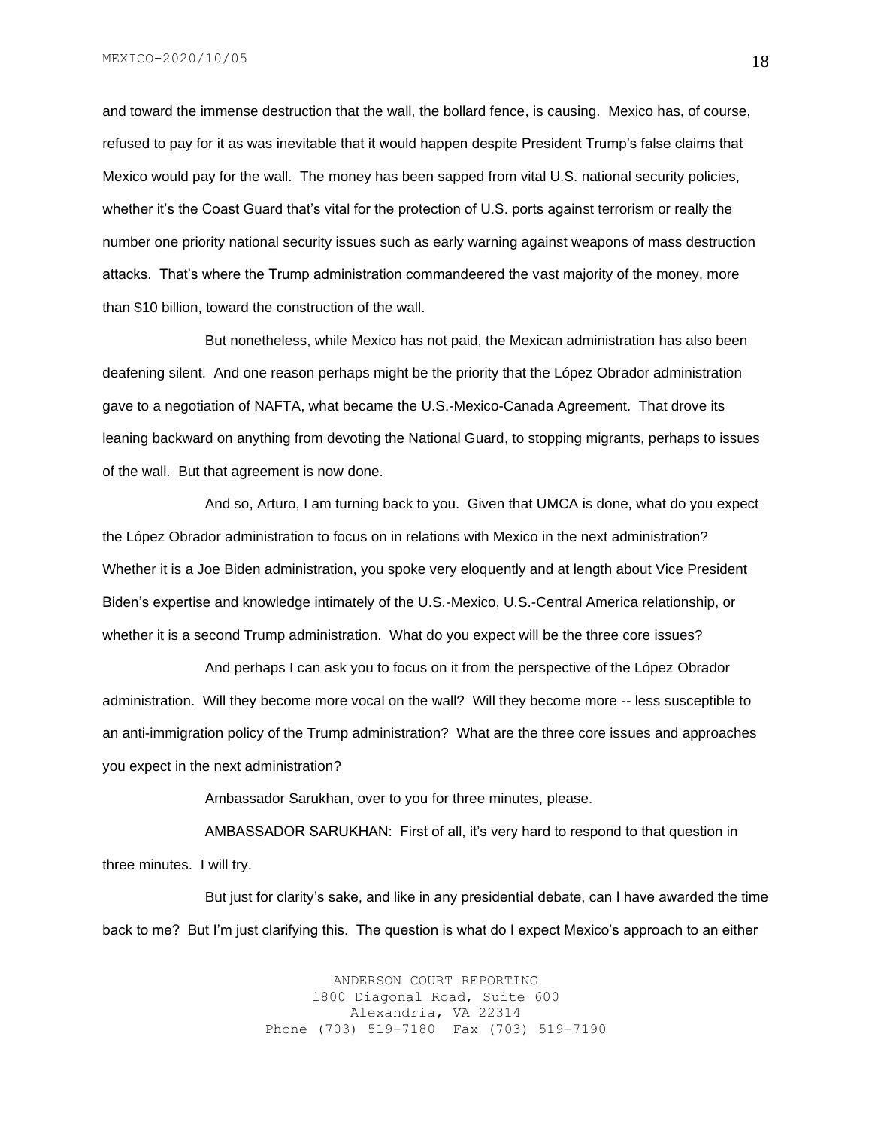and toward the immense destruction that the wall, the bollard fence, is causing. Mexico has, of course, refused to pay for it as was inevitable that it would happen despite President Trump's false claims that Mexico would pay for the wall. The money has been sapped from vital U.S. national security policies, whether it's the Coast Guard that's vital for the protection of U.S. ports against terrorism or really the number one priority national security issues such as early warning against weapons of mass destruction attacks. That's where the Trump administration commandeered the vast majority of the money, more than \$10 billion, toward the construction of the wall.

But nonetheless, while Mexico has not paid, the Mexican administration has also been deafening silent. And one reason perhaps might be the priority that the López Obrador administration gave to a negotiation of NAFTA, what became the U.S.-Mexico-Canada Agreement. That drove its leaning backward on anything from devoting the National Guard, to stopping migrants, perhaps to issues of the wall. But that agreement is now done.

And so, Arturo, I am turning back to you. Given that UMCA is done, what do you expect the López Obrador administration to focus on in relations with Mexico in the next administration? Whether it is a Joe Biden administration, you spoke very eloquently and at length about Vice President Biden's expertise and knowledge intimately of the U.S.-Mexico, U.S.-Central America relationship, or whether it is a second Trump administration. What do you expect will be the three core issues?

And perhaps I can ask you to focus on it from the perspective of the López Obrador administration. Will they become more vocal on the wall? Will they become more -- less susceptible to an anti-immigration policy of the Trump administration? What are the three core issues and approaches you expect in the next administration?

Ambassador Sarukhan, over to you for three minutes, please.

AMBASSADOR SARUKHAN: First of all, it's very hard to respond to that question in three minutes. I will try.

But just for clarity's sake, and like in any presidential debate, can I have awarded the time back to me? But I'm just clarifying this. The question is what do I expect Mexico's approach to an either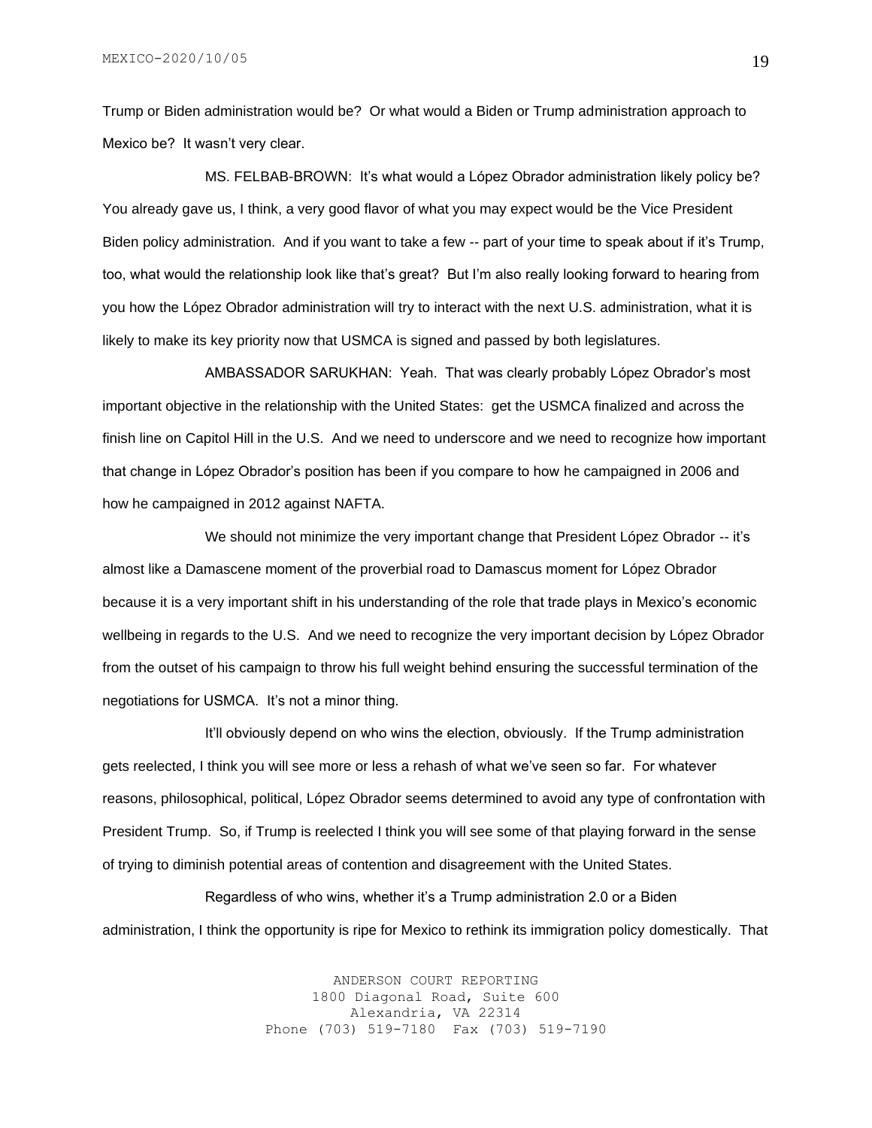Trump or Biden administration would be? Or what would a Biden or Trump administration approach to Mexico be? It wasn't very clear.

MS. FELBAB-BROWN: It's what would a López Obrador administration likely policy be? You already gave us, I think, a very good flavor of what you may expect would be the Vice President Biden policy administration. And if you want to take a few -- part of your time to speak about if it's Trump, too, what would the relationship look like that's great? But I'm also really looking forward to hearing from you how the López Obrador administration will try to interact with the next U.S. administration, what it is likely to make its key priority now that USMCA is signed and passed by both legislatures.

AMBASSADOR SARUKHAN: Yeah. That was clearly probably López Obrador's most important objective in the relationship with the United States: get the USMCA finalized and across the finish line on Capitol Hill in the U.S. And we need to underscore and we need to recognize how important that change in López Obrador's position has been if you compare to how he campaigned in 2006 and how he campaigned in 2012 against NAFTA.

We should not minimize the very important change that President López Obrador -- it's almost like a Damascene moment of the proverbial road to Damascus moment for López Obrador because it is a very important shift in his understanding of the role that trade plays in Mexico's economic wellbeing in regards to the U.S. And we need to recognize the very important decision by López Obrador from the outset of his campaign to throw his full weight behind ensuring the successful termination of the negotiations for USMCA. It's not a minor thing.

It'll obviously depend on who wins the election, obviously. If the Trump administration gets reelected, I think you will see more or less a rehash of what we've seen so far. For whatever reasons, philosophical, political, López Obrador seems determined to avoid any type of confrontation with President Trump. So, if Trump is reelected I think you will see some of that playing forward in the sense of trying to diminish potential areas of contention and disagreement with the United States.

Regardless of who wins, whether it's a Trump administration 2.0 or a Biden administration, I think the opportunity is ripe for Mexico to rethink its immigration policy domestically. That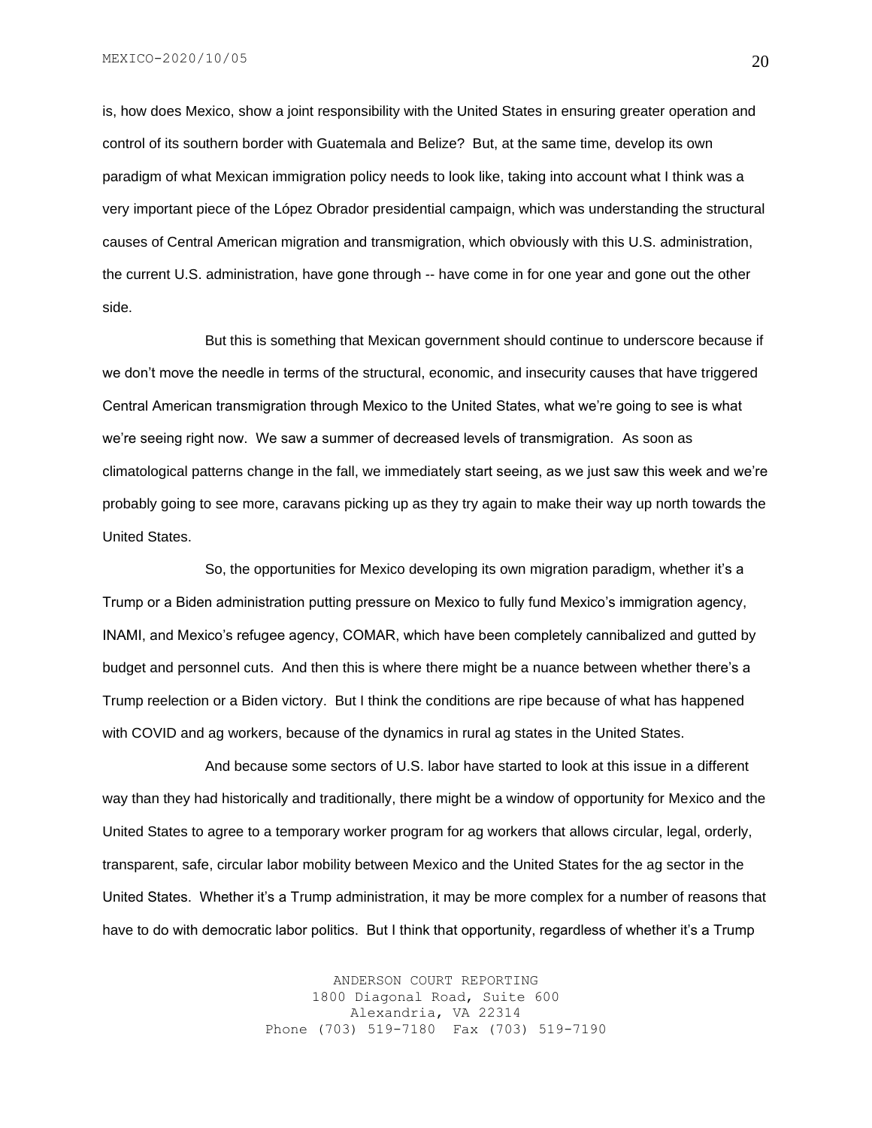is, how does Mexico, show a joint responsibility with the United States in ensuring greater operation and control of its southern border with Guatemala and Belize? But, at the same time, develop its own paradigm of what Mexican immigration policy needs to look like, taking into account what I think was a very important piece of the López Obrador presidential campaign, which was understanding the structural causes of Central American migration and transmigration, which obviously with this U.S. administration, the current U.S. administration, have gone through -- have come in for one year and gone out the other side.

But this is something that Mexican government should continue to underscore because if we don't move the needle in terms of the structural, economic, and insecurity causes that have triggered Central American transmigration through Mexico to the United States, what we're going to see is what we're seeing right now. We saw a summer of decreased levels of transmigration. As soon as climatological patterns change in the fall, we immediately start seeing, as we just saw this week and we're probably going to see more, caravans picking up as they try again to make their way up north towards the United States.

So, the opportunities for Mexico developing its own migration paradigm, whether it's a Trump or a Biden administration putting pressure on Mexico to fully fund Mexico's immigration agency, INAMI, and Mexico's refugee agency, COMAR, which have been completely cannibalized and gutted by budget and personnel cuts. And then this is where there might be a nuance between whether there's a Trump reelection or a Biden victory. But I think the conditions are ripe because of what has happened with COVID and ag workers, because of the dynamics in rural ag states in the United States.

And because some sectors of U.S. labor have started to look at this issue in a different way than they had historically and traditionally, there might be a window of opportunity for Mexico and the United States to agree to a temporary worker program for ag workers that allows circular, legal, orderly, transparent, safe, circular labor mobility between Mexico and the United States for the ag sector in the United States. Whether it's a Trump administration, it may be more complex for a number of reasons that have to do with democratic labor politics. But I think that opportunity, regardless of whether it's a Trump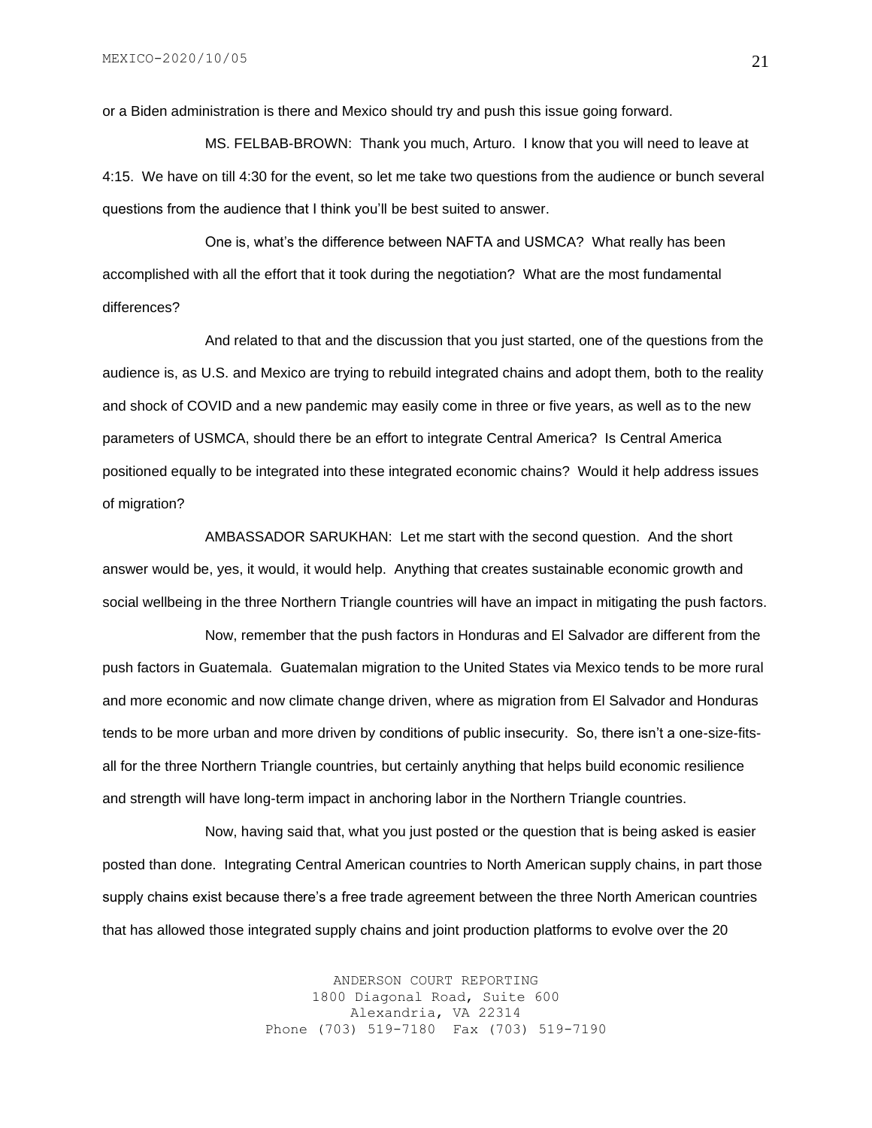or a Biden administration is there and Mexico should try and push this issue going forward.

MS. FELBAB-BROWN: Thank you much, Arturo. I know that you will need to leave at 4:15. We have on till 4:30 for the event, so let me take two questions from the audience or bunch several questions from the audience that I think you'll be best suited to answer.

One is, what's the difference between NAFTA and USMCA? What really has been accomplished with all the effort that it took during the negotiation? What are the most fundamental differences?

And related to that and the discussion that you just started, one of the questions from the audience is, as U.S. and Mexico are trying to rebuild integrated chains and adopt them, both to the reality and shock of COVID and a new pandemic may easily come in three or five years, as well as to the new parameters of USMCA, should there be an effort to integrate Central America? Is Central America positioned equally to be integrated into these integrated economic chains? Would it help address issues of migration?

AMBASSADOR SARUKHAN: Let me start with the second question. And the short answer would be, yes, it would, it would help. Anything that creates sustainable economic growth and social wellbeing in the three Northern Triangle countries will have an impact in mitigating the push factors.

Now, remember that the push factors in Honduras and El Salvador are different from the push factors in Guatemala. Guatemalan migration to the United States via Mexico tends to be more rural and more economic and now climate change driven, where as migration from El Salvador and Honduras tends to be more urban and more driven by conditions of public insecurity. So, there isn't a one-size-fitsall for the three Northern Triangle countries, but certainly anything that helps build economic resilience and strength will have long-term impact in anchoring labor in the Northern Triangle countries.

Now, having said that, what you just posted or the question that is being asked is easier posted than done. Integrating Central American countries to North American supply chains, in part those supply chains exist because there's a free trade agreement between the three North American countries that has allowed those integrated supply chains and joint production platforms to evolve over the 20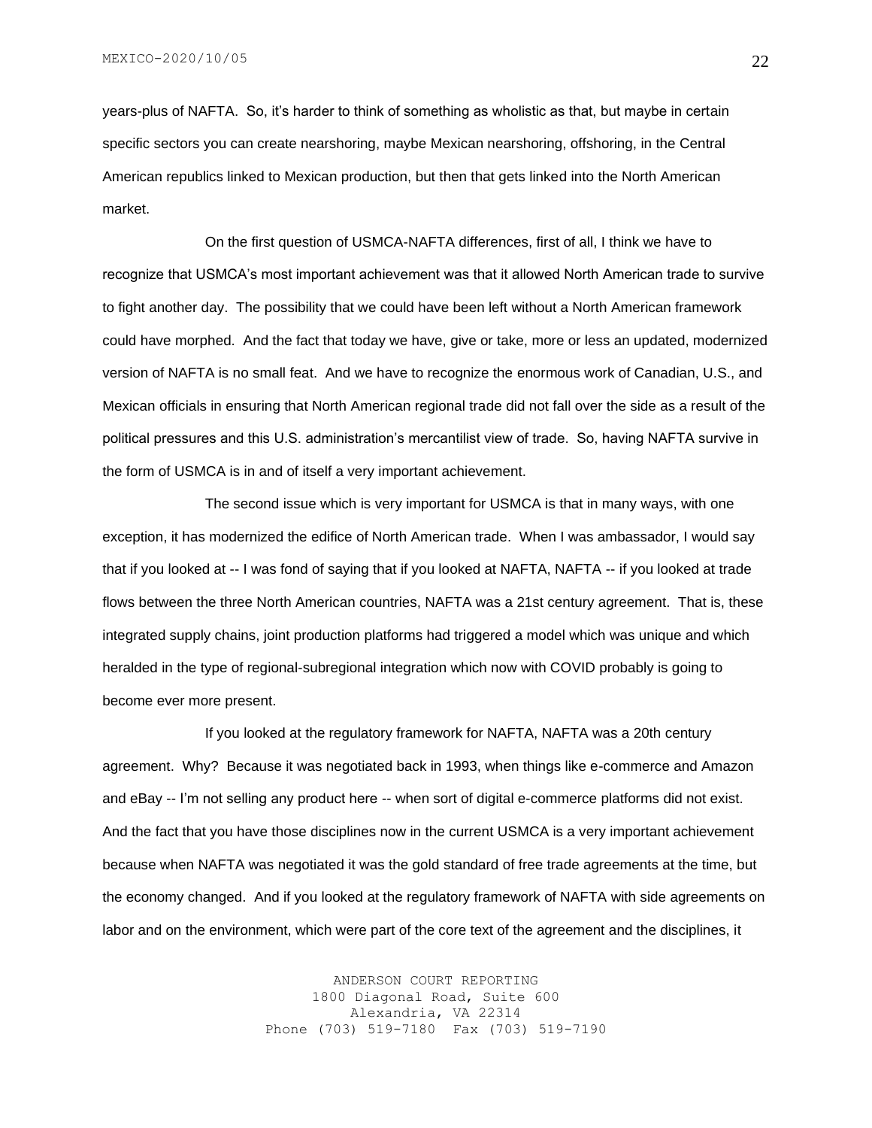years-plus of NAFTA. So, it's harder to think of something as wholistic as that, but maybe in certain specific sectors you can create nearshoring, maybe Mexican nearshoring, offshoring, in the Central American republics linked to Mexican production, but then that gets linked into the North American market.

On the first question of USMCA-NAFTA differences, first of all, I think we have to recognize that USMCA's most important achievement was that it allowed North American trade to survive to fight another day. The possibility that we could have been left without a North American framework could have morphed. And the fact that today we have, give or take, more or less an updated, modernized version of NAFTA is no small feat. And we have to recognize the enormous work of Canadian, U.S., and Mexican officials in ensuring that North American regional trade did not fall over the side as a result of the political pressures and this U.S. administration's mercantilist view of trade. So, having NAFTA survive in the form of USMCA is in and of itself a very important achievement.

The second issue which is very important for USMCA is that in many ways, with one exception, it has modernized the edifice of North American trade. When I was ambassador, I would say that if you looked at -- I was fond of saying that if you looked at NAFTA, NAFTA -- if you looked at trade flows between the three North American countries, NAFTA was a 21st century agreement. That is, these integrated supply chains, joint production platforms had triggered a model which was unique and which heralded in the type of regional-subregional integration which now with COVID probably is going to become ever more present.

If you looked at the regulatory framework for NAFTA, NAFTA was a 20th century agreement. Why? Because it was negotiated back in 1993, when things like e-commerce and Amazon and eBay -- I'm not selling any product here -- when sort of digital e-commerce platforms did not exist. And the fact that you have those disciplines now in the current USMCA is a very important achievement because when NAFTA was negotiated it was the gold standard of free trade agreements at the time, but the economy changed. And if you looked at the regulatory framework of NAFTA with side agreements on labor and on the environment, which were part of the core text of the agreement and the disciplines, it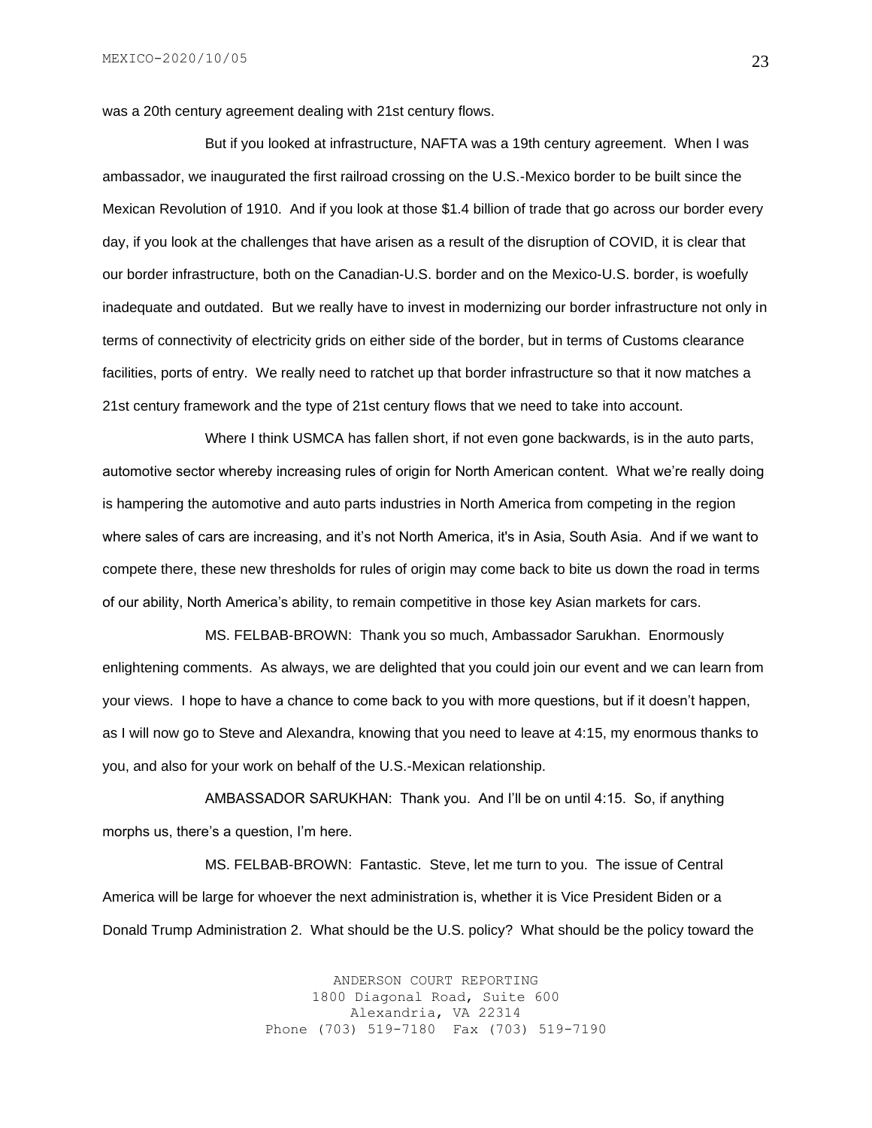was a 20th century agreement dealing with 21st century flows.

But if you looked at infrastructure, NAFTA was a 19th century agreement. When I was ambassador, we inaugurated the first railroad crossing on the U.S.-Mexico border to be built since the Mexican Revolution of 1910. And if you look at those \$1.4 billion of trade that go across our border every day, if you look at the challenges that have arisen as a result of the disruption of COVID, it is clear that our border infrastructure, both on the Canadian-U.S. border and on the Mexico-U.S. border, is woefully inadequate and outdated. But we really have to invest in modernizing our border infrastructure not only in terms of connectivity of electricity grids on either side of the border, but in terms of Customs clearance facilities, ports of entry. We really need to ratchet up that border infrastructure so that it now matches a 21st century framework and the type of 21st century flows that we need to take into account.

Where I think USMCA has fallen short, if not even gone backwards, is in the auto parts, automotive sector whereby increasing rules of origin for North American content. What we're really doing is hampering the automotive and auto parts industries in North America from competing in the region where sales of cars are increasing, and it's not North America, it's in Asia, South Asia. And if we want to compete there, these new thresholds for rules of origin may come back to bite us down the road in terms of our ability, North America's ability, to remain competitive in those key Asian markets for cars.

MS. FELBAB-BROWN: Thank you so much, Ambassador Sarukhan. Enormously enlightening comments. As always, we are delighted that you could join our event and we can learn from your views. I hope to have a chance to come back to you with more questions, but if it doesn't happen, as I will now go to Steve and Alexandra, knowing that you need to leave at 4:15, my enormous thanks to you, and also for your work on behalf of the U.S.-Mexican relationship.

AMBASSADOR SARUKHAN: Thank you. And I'll be on until 4:15. So, if anything morphs us, there's a question, I'm here.

MS. FELBAB-BROWN: Fantastic. Steve, let me turn to you. The issue of Central America will be large for whoever the next administration is, whether it is Vice President Biden or a Donald Trump Administration 2. What should be the U.S. policy? What should be the policy toward the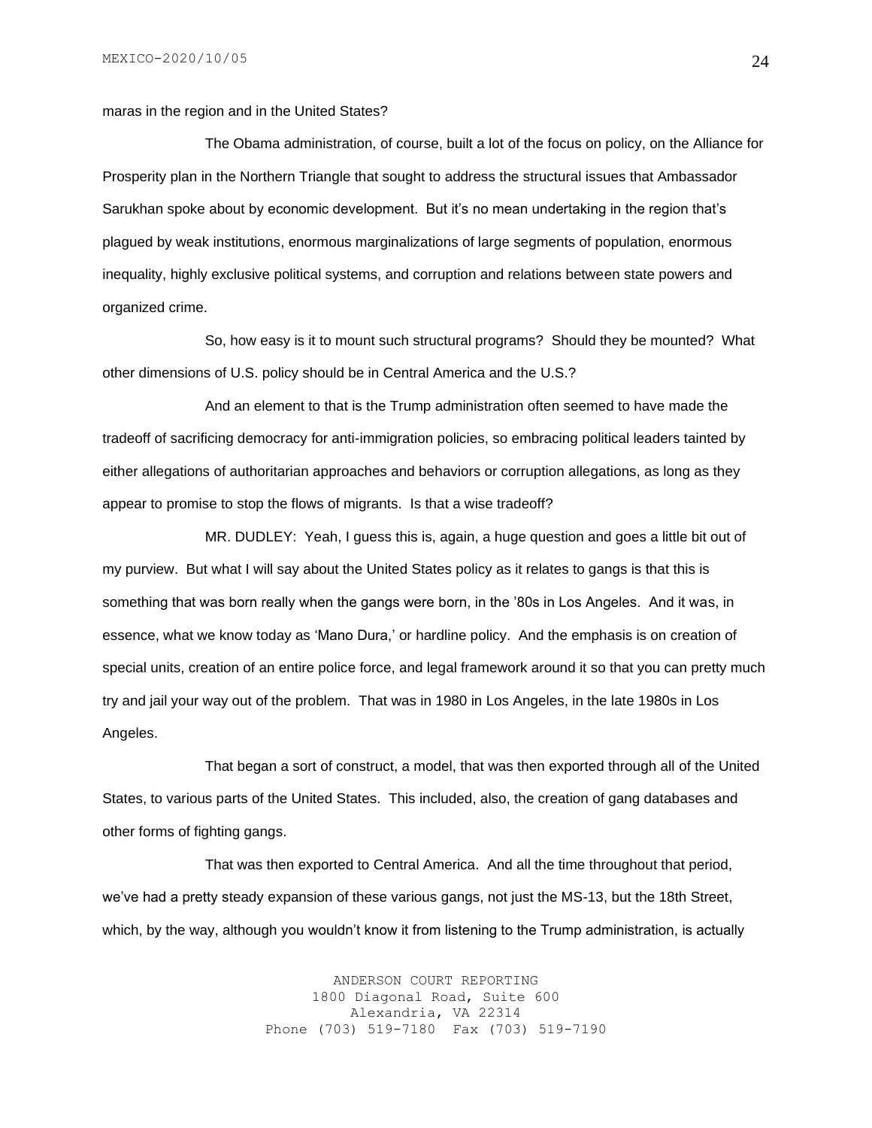maras in the region and in the United States?

The Obama administration, of course, built a lot of the focus on policy, on the Alliance for Prosperity plan in the Northern Triangle that sought to address the structural issues that Ambassador Sarukhan spoke about by economic development. But it's no mean undertaking in the region that's plagued by weak institutions, enormous marginalizations of large segments of population, enormous inequality, highly exclusive political systems, and corruption and relations between state powers and organized crime.

So, how easy is it to mount such structural programs? Should they be mounted? What other dimensions of U.S. policy should be in Central America and the U.S.?

And an element to that is the Trump administration often seemed to have made the tradeoff of sacrificing democracy for anti-immigration policies, so embracing political leaders tainted by either allegations of authoritarian approaches and behaviors or corruption allegations, as long as they appear to promise to stop the flows of migrants. Is that a wise tradeoff?

MR. DUDLEY: Yeah, I guess this is, again, a huge question and goes a little bit out of my purview. But what I will say about the United States policy as it relates to gangs is that this is something that was born really when the gangs were born, in the '80s in Los Angeles. And it was, in essence, what we know today as 'Mano Dura,' or hardline policy. And the emphasis is on creation of special units, creation of an entire police force, and legal framework around it so that you can pretty much try and jail your way out of the problem. That was in 1980 in Los Angeles, in the late 1980s in Los Angeles.

That began a sort of construct, a model, that was then exported through all of the United States, to various parts of the United States. This included, also, the creation of gang databases and other forms of fighting gangs.

That was then exported to Central America. And all the time throughout that period, we've had a pretty steady expansion of these various gangs, not just the MS-13, but the 18th Street, which, by the way, although you wouldn't know it from listening to the Trump administration, is actually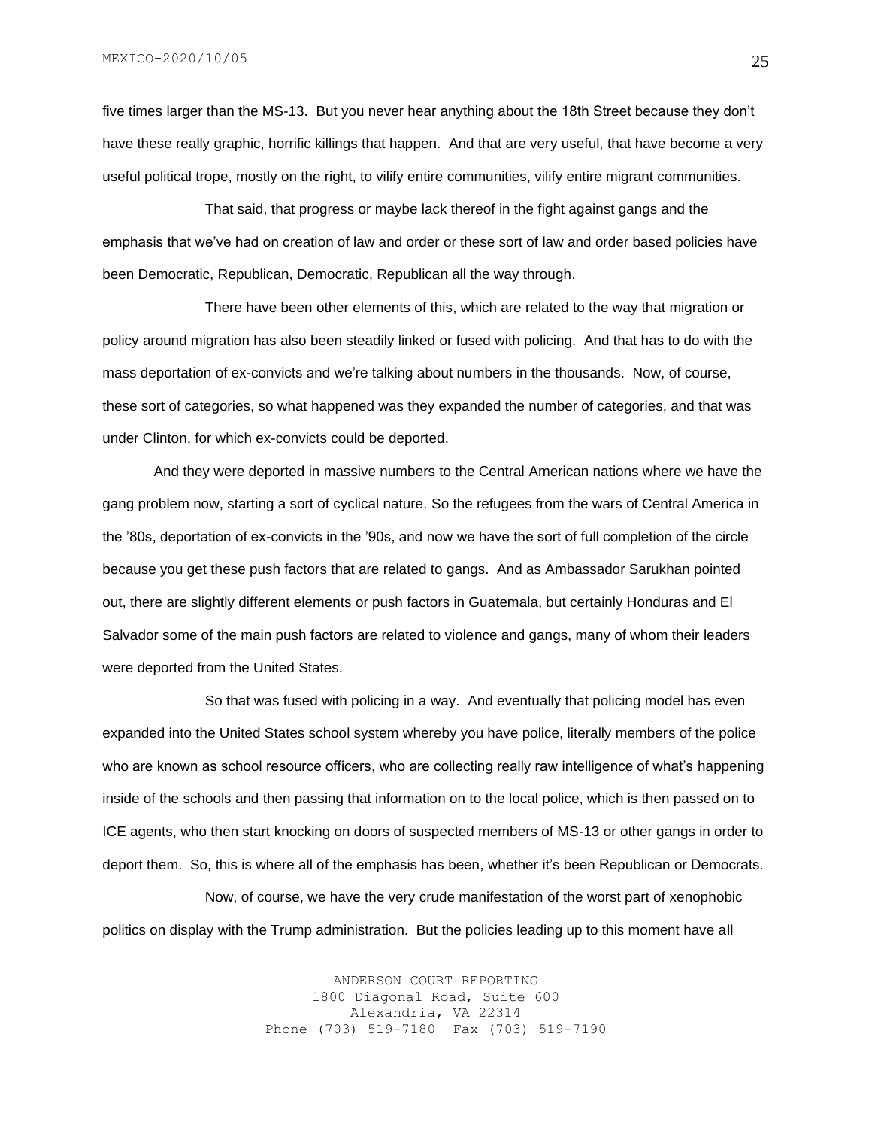five times larger than the MS-13. But you never hear anything about the 18th Street because they don't have these really graphic, horrific killings that happen. And that are very useful, that have become a very useful political trope, mostly on the right, to vilify entire communities, vilify entire migrant communities.

That said, that progress or maybe lack thereof in the fight against gangs and the emphasis that we've had on creation of law and order or these sort of law and order based policies have been Democratic, Republican, Democratic, Republican all the way through.

There have been other elements of this, which are related to the way that migration or policy around migration has also been steadily linked or fused with policing. And that has to do with the mass deportation of ex-convicts and we're talking about numbers in the thousands. Now, of course, these sort of categories, so what happened was they expanded the number of categories, and that was under Clinton, for which ex-convicts could be deported.

And they were deported in massive numbers to the Central American nations where we have the gang problem now, starting a sort of cyclical nature. So the refugees from the wars of Central America in the '80s, deportation of ex-convicts in the '90s, and now we have the sort of full completion of the circle because you get these push factors that are related to gangs. And as Ambassador Sarukhan pointed out, there are slightly different elements or push factors in Guatemala, but certainly Honduras and El Salvador some of the main push factors are related to violence and gangs, many of whom their leaders were deported from the United States.

So that was fused with policing in a way. And eventually that policing model has even expanded into the United States school system whereby you have police, literally members of the police who are known as school resource officers, who are collecting really raw intelligence of what's happening inside of the schools and then passing that information on to the local police, which is then passed on to ICE agents, who then start knocking on doors of suspected members of MS-13 or other gangs in order to deport them. So, this is where all of the emphasis has been, whether it's been Republican or Democrats.

Now, of course, we have the very crude manifestation of the worst part of xenophobic politics on display with the Trump administration. But the policies leading up to this moment have all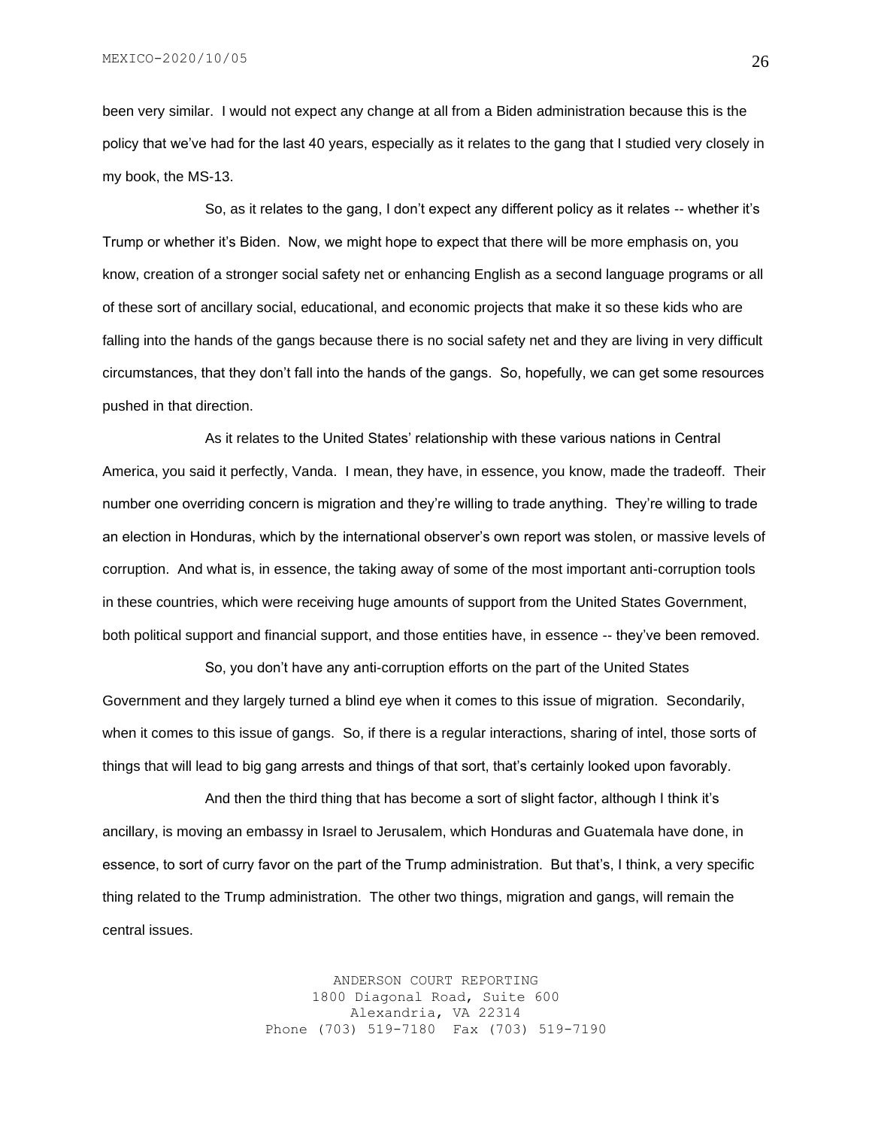been very similar. I would not expect any change at all from a Biden administration because this is the policy that we've had for the last 40 years, especially as it relates to the gang that I studied very closely in my book, the MS-13.

So, as it relates to the gang, I don't expect any different policy as it relates -- whether it's Trump or whether it's Biden. Now, we might hope to expect that there will be more emphasis on, you know, creation of a stronger social safety net or enhancing English as a second language programs or all of these sort of ancillary social, educational, and economic projects that make it so these kids who are falling into the hands of the gangs because there is no social safety net and they are living in very difficult circumstances, that they don't fall into the hands of the gangs. So, hopefully, we can get some resources pushed in that direction.

As it relates to the United States' relationship with these various nations in Central America, you said it perfectly, Vanda. I mean, they have, in essence, you know, made the tradeoff. Their number one overriding concern is migration and they're willing to trade anything. They're willing to trade an election in Honduras, which by the international observer's own report was stolen, or massive levels of corruption. And what is, in essence, the taking away of some of the most important anti-corruption tools in these countries, which were receiving huge amounts of support from the United States Government, both political support and financial support, and those entities have, in essence -- they've been removed.

So, you don't have any anti-corruption efforts on the part of the United States Government and they largely turned a blind eye when it comes to this issue of migration. Secondarily, when it comes to this issue of gangs. So, if there is a regular interactions, sharing of intel, those sorts of things that will lead to big gang arrests and things of that sort, that's certainly looked upon favorably.

And then the third thing that has become a sort of slight factor, although I think it's ancillary, is moving an embassy in Israel to Jerusalem, which Honduras and Guatemala have done, in essence, to sort of curry favor on the part of the Trump administration. But that's, I think, a very specific thing related to the Trump administration. The other two things, migration and gangs, will remain the central issues.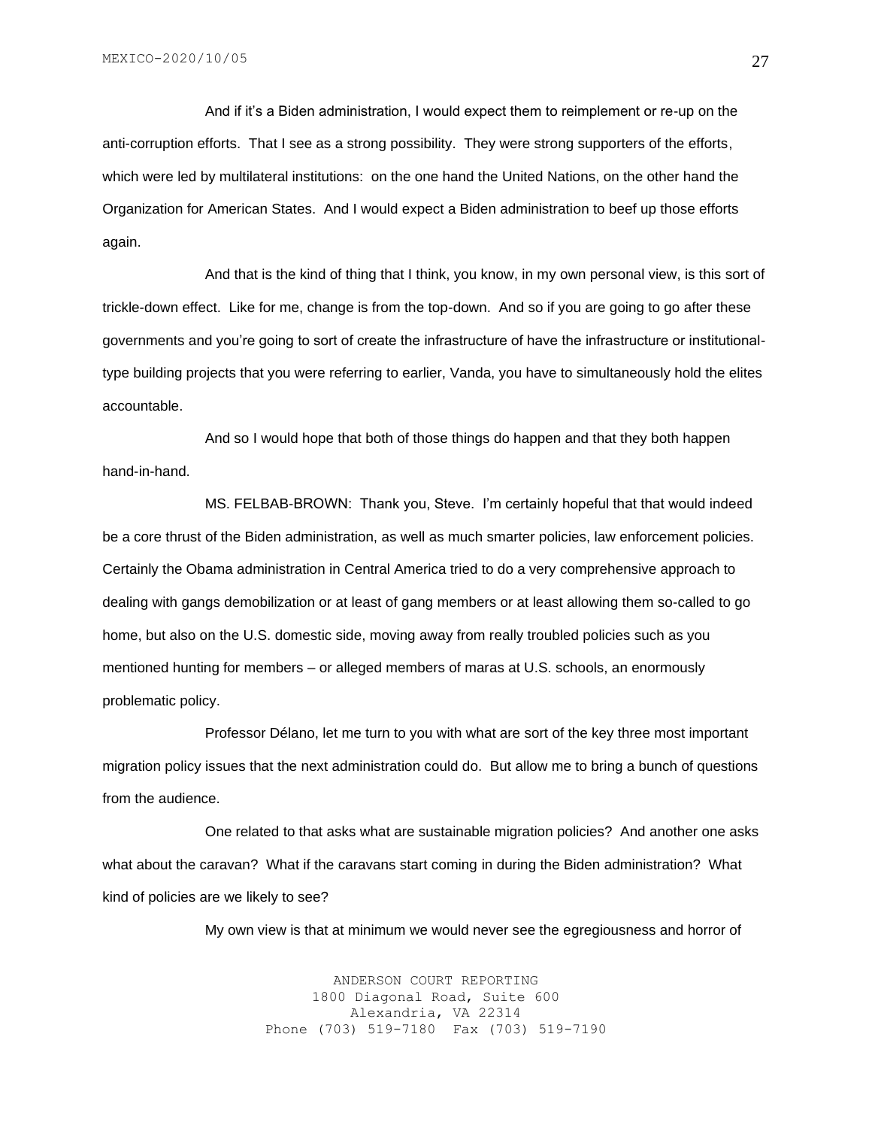And if it's a Biden administration, I would expect them to reimplement or re-up on the anti-corruption efforts. That I see as a strong possibility. They were strong supporters of the efforts, which were led by multilateral institutions: on the one hand the United Nations, on the other hand the Organization for American States. And I would expect a Biden administration to beef up those efforts again.

And that is the kind of thing that I think, you know, in my own personal view, is this sort of trickle-down effect. Like for me, change is from the top-down. And so if you are going to go after these governments and you're going to sort of create the infrastructure of have the infrastructure or institutionaltype building projects that you were referring to earlier, Vanda, you have to simultaneously hold the elites accountable.

And so I would hope that both of those things do happen and that they both happen hand-in-hand.

MS. FELBAB-BROWN: Thank you, Steve. I'm certainly hopeful that that would indeed be a core thrust of the Biden administration, as well as much smarter policies, law enforcement policies. Certainly the Obama administration in Central America tried to do a very comprehensive approach to dealing with gangs demobilization or at least of gang members or at least allowing them so-called to go home, but also on the U.S. domestic side, moving away from really troubled policies such as you mentioned hunting for members – or alleged members of maras at U.S. schools, an enormously problematic policy.

Professor Délano, let me turn to you with what are sort of the key three most important migration policy issues that the next administration could do. But allow me to bring a bunch of questions from the audience.

One related to that asks what are sustainable migration policies? And another one asks what about the caravan? What if the caravans start coming in during the Biden administration? What kind of policies are we likely to see?

My own view is that at minimum we would never see the egregiousness and horror of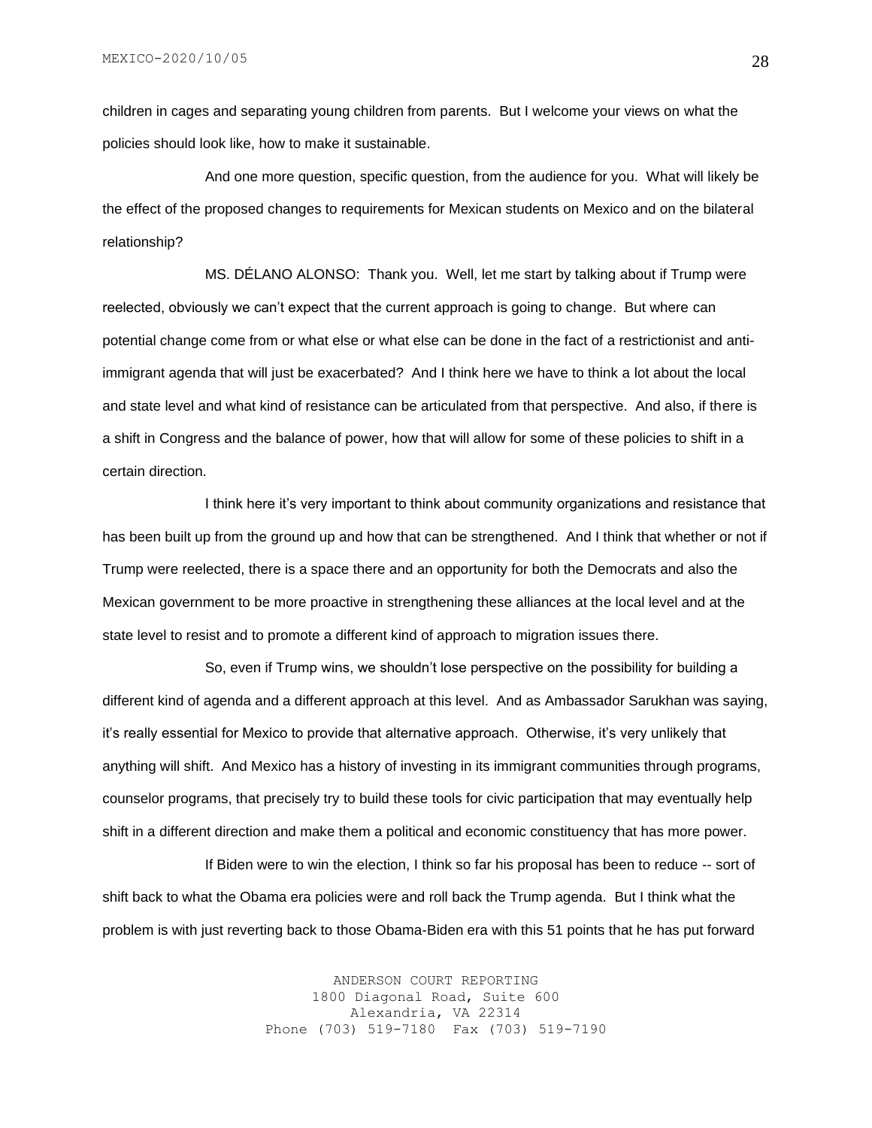children in cages and separating young children from parents. But I welcome your views on what the policies should look like, how to make it sustainable.

And one more question, specific question, from the audience for you. What will likely be the effect of the proposed changes to requirements for Mexican students on Mexico and on the bilateral relationship?

MS. DÉLANO ALONSO: Thank you. Well, let me start by talking about if Trump were reelected, obviously we can't expect that the current approach is going to change. But where can potential change come from or what else or what else can be done in the fact of a restrictionist and antiimmigrant agenda that will just be exacerbated? And I think here we have to think a lot about the local and state level and what kind of resistance can be articulated from that perspective. And also, if there is a shift in Congress and the balance of power, how that will allow for some of these policies to shift in a certain direction.

I think here it's very important to think about community organizations and resistance that has been built up from the ground up and how that can be strengthened. And I think that whether or not if Trump were reelected, there is a space there and an opportunity for both the Democrats and also the Mexican government to be more proactive in strengthening these alliances at the local level and at the state level to resist and to promote a different kind of approach to migration issues there.

So, even if Trump wins, we shouldn't lose perspective on the possibility for building a different kind of agenda and a different approach at this level. And as Ambassador Sarukhan was saying, it's really essential for Mexico to provide that alternative approach. Otherwise, it's very unlikely that anything will shift. And Mexico has a history of investing in its immigrant communities through programs, counselor programs, that precisely try to build these tools for civic participation that may eventually help shift in a different direction and make them a political and economic constituency that has more power.

If Biden were to win the election, I think so far his proposal has been to reduce -- sort of shift back to what the Obama era policies were and roll back the Trump agenda. But I think what the problem is with just reverting back to those Obama-Biden era with this 51 points that he has put forward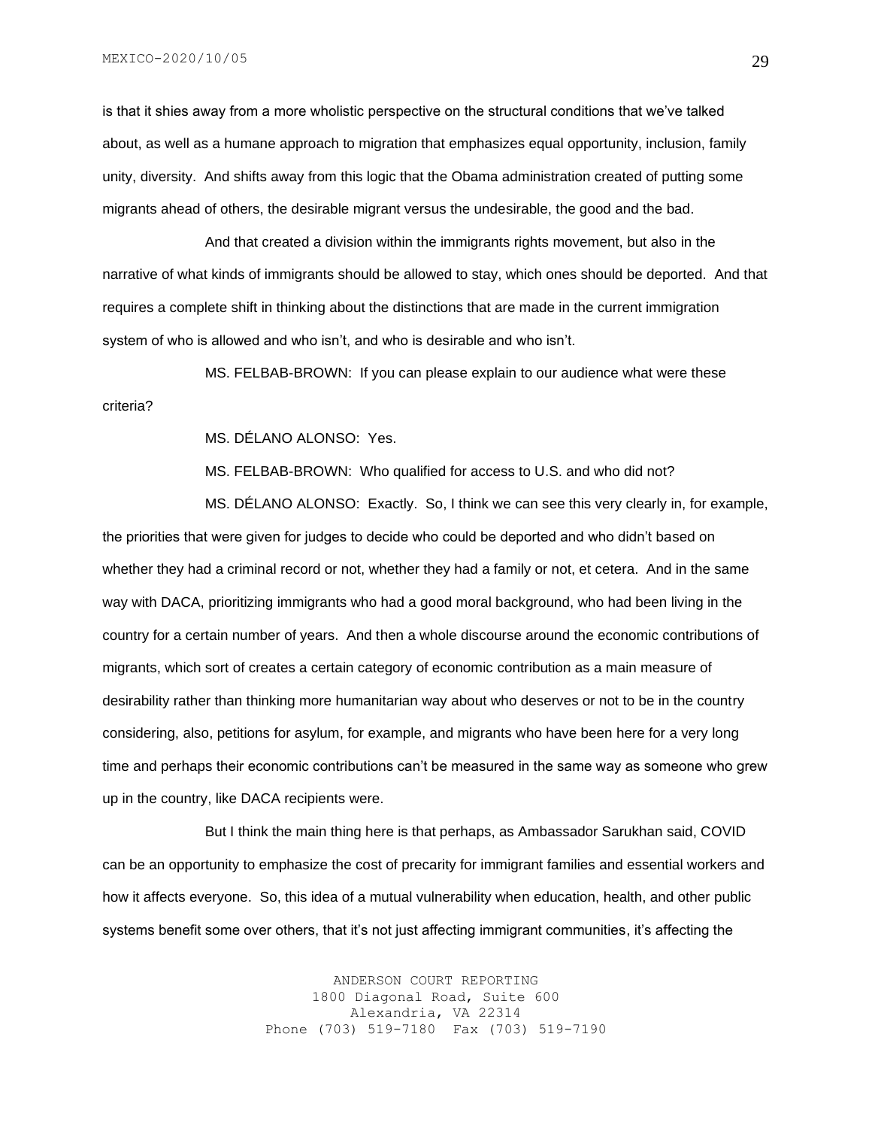is that it shies away from a more wholistic perspective on the structural conditions that we've talked about, as well as a humane approach to migration that emphasizes equal opportunity, inclusion, family unity, diversity. And shifts away from this logic that the Obama administration created of putting some migrants ahead of others, the desirable migrant versus the undesirable, the good and the bad.

And that created a division within the immigrants rights movement, but also in the narrative of what kinds of immigrants should be allowed to stay, which ones should be deported. And that requires a complete shift in thinking about the distinctions that are made in the current immigration system of who is allowed and who isn't, and who is desirable and who isn't.

MS. FELBAB-BROWN: If you can please explain to our audience what were these criteria?

MS. DÉLANO ALONSO: Yes.

MS. FELBAB-BROWN: Who qualified for access to U.S. and who did not?

MS. DÉLANO ALONSO: Exactly. So, I think we can see this very clearly in, for example, the priorities that were given for judges to decide who could be deported and who didn't based on whether they had a criminal record or not, whether they had a family or not, et cetera. And in the same way with DACA, prioritizing immigrants who had a good moral background, who had been living in the country for a certain number of years. And then a whole discourse around the economic contributions of migrants, which sort of creates a certain category of economic contribution as a main measure of desirability rather than thinking more humanitarian way about who deserves or not to be in the country considering, also, petitions for asylum, for example, and migrants who have been here for a very long time and perhaps their economic contributions can't be measured in the same way as someone who grew up in the country, like DACA recipients were.

But I think the main thing here is that perhaps, as Ambassador Sarukhan said, COVID can be an opportunity to emphasize the cost of precarity for immigrant families and essential workers and how it affects everyone. So, this idea of a mutual vulnerability when education, health, and other public systems benefit some over others, that it's not just affecting immigrant communities, it's affecting the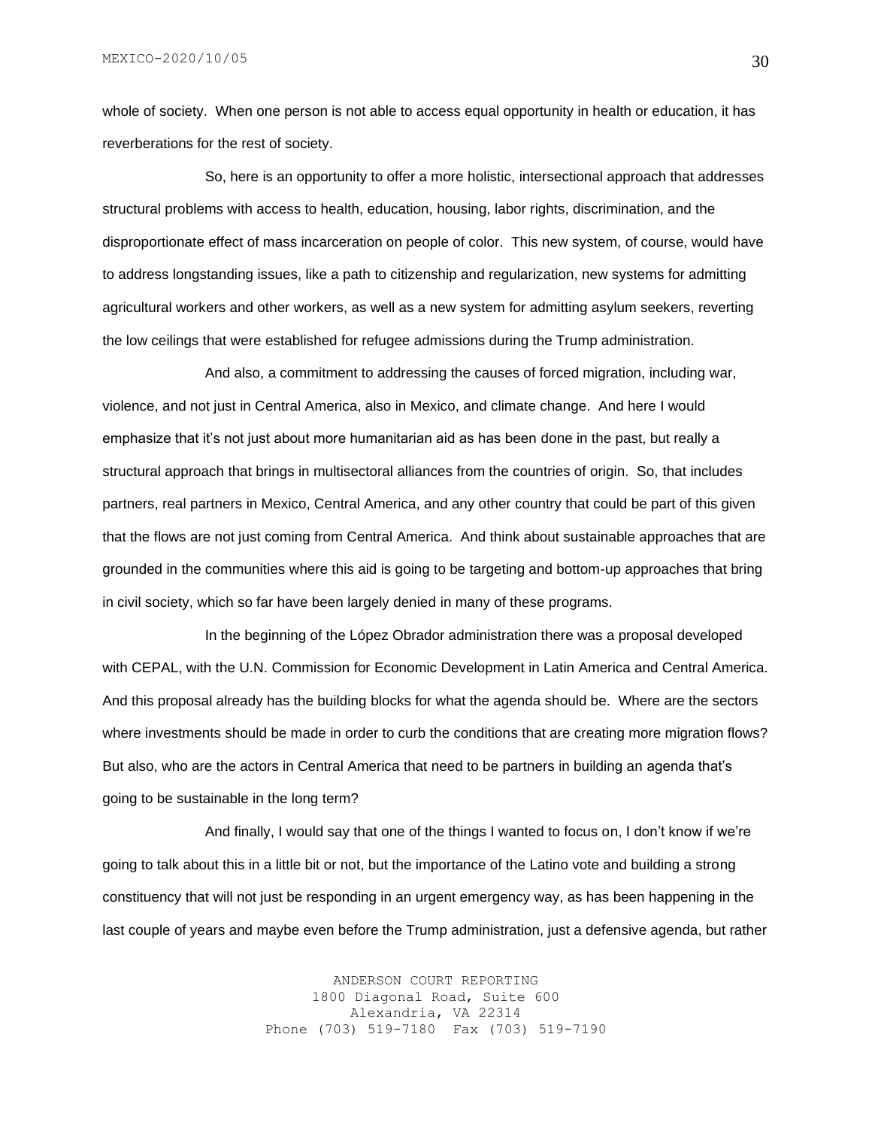whole of society. When one person is not able to access equal opportunity in health or education, it has reverberations for the rest of society.

So, here is an opportunity to offer a more holistic, intersectional approach that addresses structural problems with access to health, education, housing, labor rights, discrimination, and the disproportionate effect of mass incarceration on people of color. This new system, of course, would have to address longstanding issues, like a path to citizenship and regularization, new systems for admitting agricultural workers and other workers, as well as a new system for admitting asylum seekers, reverting the low ceilings that were established for refugee admissions during the Trump administration.

And also, a commitment to addressing the causes of forced migration, including war, violence, and not just in Central America, also in Mexico, and climate change. And here I would emphasize that it's not just about more humanitarian aid as has been done in the past, but really a structural approach that brings in multisectoral alliances from the countries of origin. So, that includes partners, real partners in Mexico, Central America, and any other country that could be part of this given that the flows are not just coming from Central America. And think about sustainable approaches that are grounded in the communities where this aid is going to be targeting and bottom-up approaches that bring in civil society, which so far have been largely denied in many of these programs.

In the beginning of the López Obrador administration there was a proposal developed with CEPAL, with the U.N. Commission for Economic Development in Latin America and Central America. And this proposal already has the building blocks for what the agenda should be. Where are the sectors where investments should be made in order to curb the conditions that are creating more migration flows? But also, who are the actors in Central America that need to be partners in building an agenda that's going to be sustainable in the long term?

And finally, I would say that one of the things I wanted to focus on, I don't know if we're going to talk about this in a little bit or not, but the importance of the Latino vote and building a strong constituency that will not just be responding in an urgent emergency way, as has been happening in the last couple of years and maybe even before the Trump administration, just a defensive agenda, but rather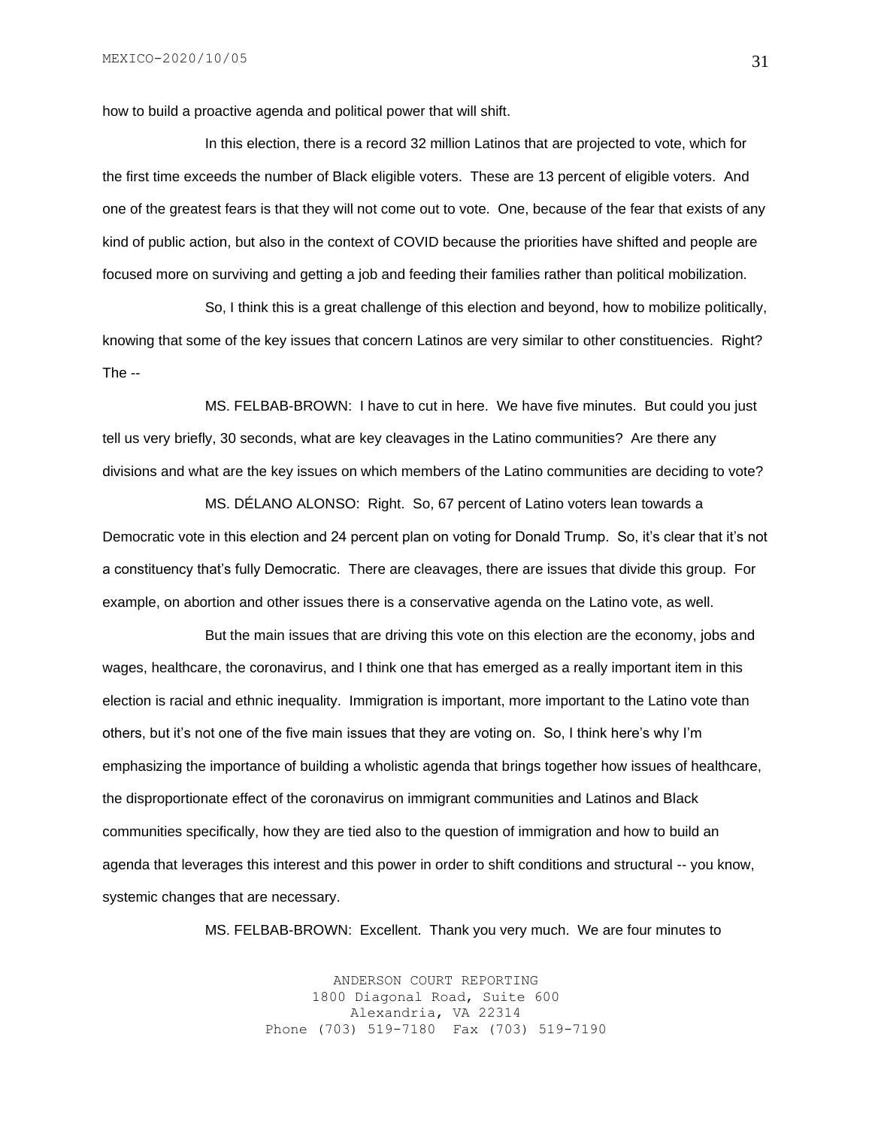how to build a proactive agenda and political power that will shift.

In this election, there is a record 32 million Latinos that are projected to vote, which for the first time exceeds the number of Black eligible voters. These are 13 percent of eligible voters. And one of the greatest fears is that they will not come out to vote. One, because of the fear that exists of any kind of public action, but also in the context of COVID because the priorities have shifted and people are focused more on surviving and getting a job and feeding their families rather than political mobilization.

So, I think this is a great challenge of this election and beyond, how to mobilize politically, knowing that some of the key issues that concern Latinos are very similar to other constituencies. Right? The --

MS. FELBAB-BROWN: I have to cut in here. We have five minutes. But could you just tell us very briefly, 30 seconds, what are key cleavages in the Latino communities? Are there any divisions and what are the key issues on which members of the Latino communities are deciding to vote?

MS. DÉLANO ALONSO: Right. So, 67 percent of Latino voters lean towards a Democratic vote in this election and 24 percent plan on voting for Donald Trump. So, it's clear that it's not a constituency that's fully Democratic. There are cleavages, there are issues that divide this group. For example, on abortion and other issues there is a conservative agenda on the Latino vote, as well.

But the main issues that are driving this vote on this election are the economy, jobs and wages, healthcare, the coronavirus, and I think one that has emerged as a really important item in this election is racial and ethnic inequality. Immigration is important, more important to the Latino vote than others, but it's not one of the five main issues that they are voting on. So, I think here's why I'm emphasizing the importance of building a wholistic agenda that brings together how issues of healthcare, the disproportionate effect of the coronavirus on immigrant communities and Latinos and Black communities specifically, how they are tied also to the question of immigration and how to build an agenda that leverages this interest and this power in order to shift conditions and structural -- you know, systemic changes that are necessary.

MS. FELBAB-BROWN: Excellent. Thank you very much. We are four minutes to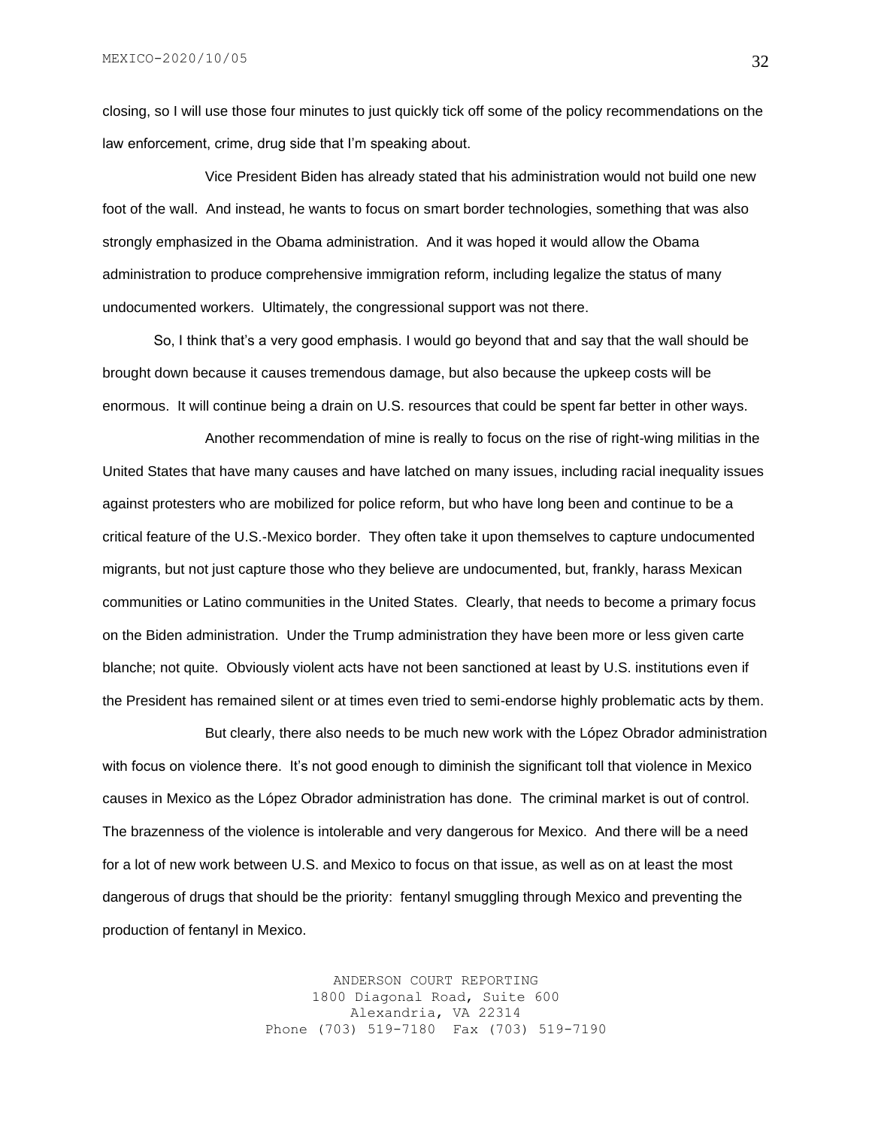closing, so I will use those four minutes to just quickly tick off some of the policy recommendations on the law enforcement, crime, drug side that I'm speaking about.

Vice President Biden has already stated that his administration would not build one new foot of the wall. And instead, he wants to focus on smart border technologies, something that was also strongly emphasized in the Obama administration. And it was hoped it would allow the Obama administration to produce comprehensive immigration reform, including legalize the status of many undocumented workers. Ultimately, the congressional support was not there.

So, I think that's a very good emphasis. I would go beyond that and say that the wall should be brought down because it causes tremendous damage, but also because the upkeep costs will be enormous. It will continue being a drain on U.S. resources that could be spent far better in other ways.

Another recommendation of mine is really to focus on the rise of right-wing militias in the United States that have many causes and have latched on many issues, including racial inequality issues against protesters who are mobilized for police reform, but who have long been and continue to be a critical feature of the U.S.-Mexico border. They often take it upon themselves to capture undocumented migrants, but not just capture those who they believe are undocumented, but, frankly, harass Mexican communities or Latino communities in the United States. Clearly, that needs to become a primary focus on the Biden administration. Under the Trump administration they have been more or less given carte blanche; not quite. Obviously violent acts have not been sanctioned at least by U.S. institutions even if the President has remained silent or at times even tried to semi-endorse highly problematic acts by them.

But clearly, there also needs to be much new work with the López Obrador administration with focus on violence there. It's not good enough to diminish the significant toll that violence in Mexico causes in Mexico as the López Obrador administration has done. The criminal market is out of control. The brazenness of the violence is intolerable and very dangerous for Mexico. And there will be a need for a lot of new work between U.S. and Mexico to focus on that issue, as well as on at least the most dangerous of drugs that should be the priority: fentanyl smuggling through Mexico and preventing the production of fentanyl in Mexico.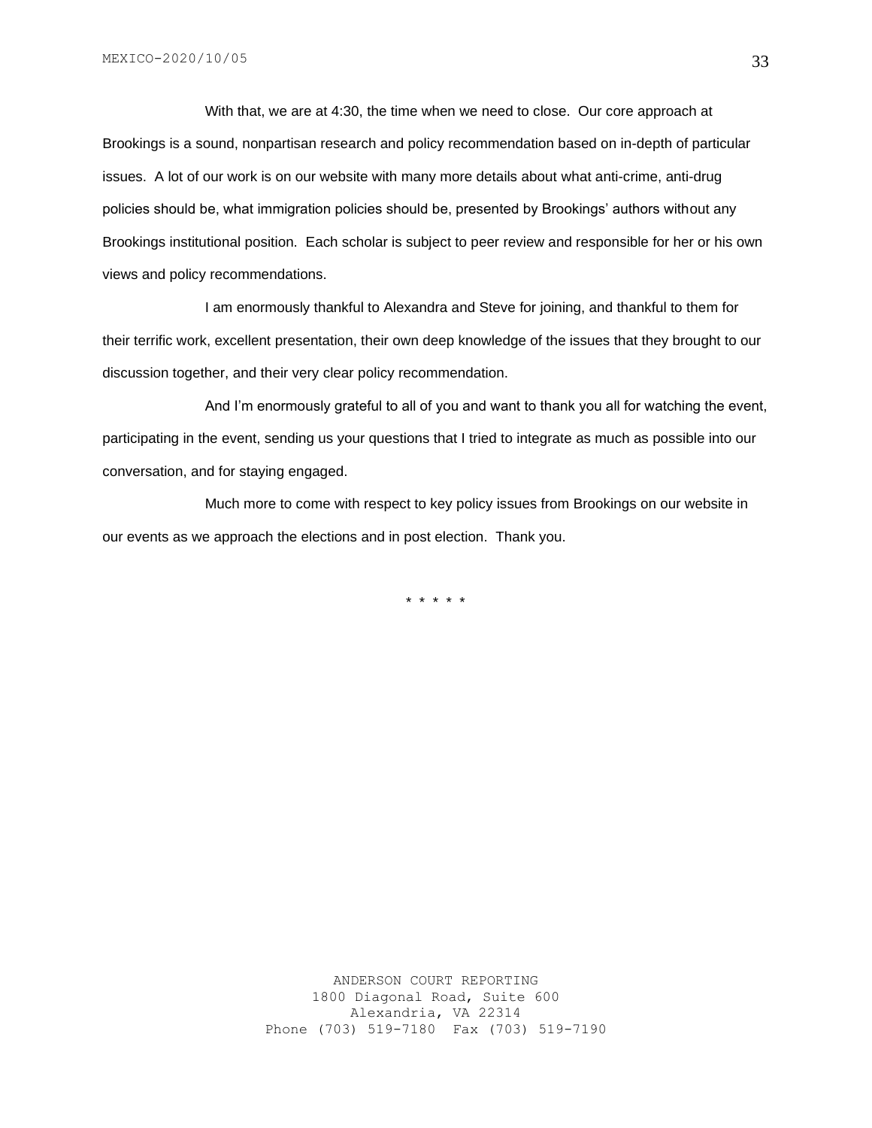With that, we are at 4:30, the time when we need to close. Our core approach at Brookings is a sound, nonpartisan research and policy recommendation based on in-depth of particular issues. A lot of our work is on our website with many more details about what anti-crime, anti-drug policies should be, what immigration policies should be, presented by Brookings' authors without any Brookings institutional position. Each scholar is subject to peer review and responsible for her or his own views and policy recommendations.

I am enormously thankful to Alexandra and Steve for joining, and thankful to them for their terrific work, excellent presentation, their own deep knowledge of the issues that they brought to our discussion together, and their very clear policy recommendation.

And I'm enormously grateful to all of you and want to thank you all for watching the event, participating in the event, sending us your questions that I tried to integrate as much as possible into our conversation, and for staying engaged.

Much more to come with respect to key policy issues from Brookings on our website in our events as we approach the elections and in post election. Thank you.

\* \* \* \* \*